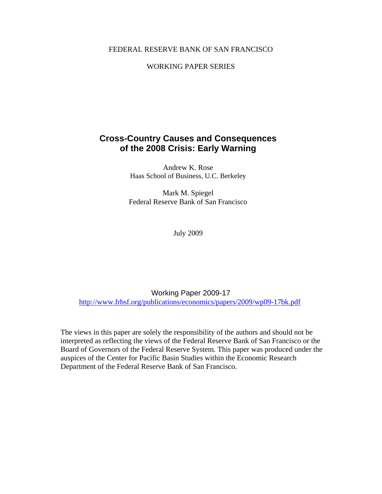#### FEDERAL RESERVE BANK OF SAN FRANCISCO

### WORKING PAPER SERIES

## **Cross-Country Causes and Consequences of the 2008 Crisis: Early Warning**

Andrew K. Rose Haas School of Business, U.C. Berkeley

Mark M. Spiegel Federal Reserve Bank of San Francisco

July 2009

Working Paper 2009-17 http://www.frbsf.org/publications/economics/papers/2009/wp09-17bk.pdf

The views in this paper are solely the responsibility of the authors and should not be interpreted as reflecting the views of the Federal Reserve Bank of San Francisco or the Board of Governors of the Federal Reserve System. This paper was produced under the auspices of the Center for Pacific Basin Studies within the Economic Research Department of the Federal Reserve Bank of San Francisco.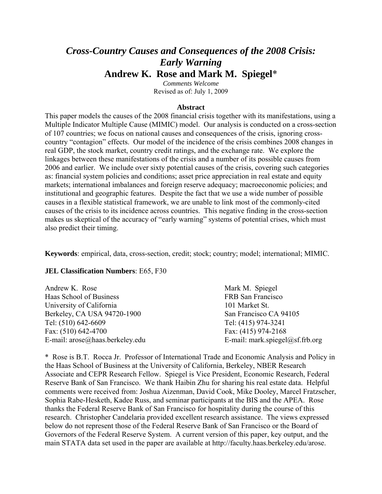# *Cross-Country Causes and Consequences of the 2008 Crisis: Early Warning*  **Andrew K. Rose and Mark M. Spiegel**\*

*Comments Welcome*  Revised as of: July 1, 2009

#### **Abstract**

This paper models the causes of the 2008 financial crisis together with its manifestations, using a Multiple Indicator Multiple Cause (MIMIC) model. Our analysis is conducted on a cross-section of 107 countries; we focus on national causes and consequences of the crisis, ignoring crosscountry "contagion" effects. Our model of the incidence of the crisis combines 2008 changes in real GDP, the stock market, country credit ratings, and the exchange rate. We explore the linkages between these manifestations of the crisis and a number of its possible causes from 2006 and earlier. We include over sixty potential causes of the crisis, covering such categories as: financial system policies and conditions; asset price appreciation in real estate and equity markets; international imbalances and foreign reserve adequacy; macroeconomic policies; and institutional and geographic features. Despite the fact that we use a wide number of possible causes in a flexible statistical framework, we are unable to link most of the commonly-cited causes of the crisis to its incidence across countries. This negative finding in the cross-section makes us skeptical of the accuracy of "early warning" systems of potential crises, which must also predict their timing.

**Keywords**: empirical, data, cross-section, credit; stock; country; model; international; MIMIC.

#### **JEL Classification Numbers**: E65, F30

| Andrew K. Rose                  | Mark M. Spiegel                 |
|---------------------------------|---------------------------------|
| Haas School of Business         | FRB San Francisco               |
| University of California        | 101 Market St.                  |
| Berkeley, CA USA 94720-1900     | San Francisco CA 94105          |
| Tel: (510) 642-6609             | Tel: (415) 974-3241             |
| Fax: (510) 642-4700             | Fax: (415) 974-2168             |
| E-mail: arose@haas.berkeley.edu | E-mail: mark.spiegel@sf.frb.org |
|                                 |                                 |

\* Rose is B.T. Rocca Jr. Professor of International Trade and Economic Analysis and Policy in the Haas School of Business at the University of California, Berkeley, NBER Research Associate and CEPR Research Fellow. Spiegel is Vice President, Economic Research, Federal Reserve Bank of San Francisco. We thank Haibin Zhu for sharing his real estate data. Helpful comments were received from: Joshua Aizenman, David Cook, Mike Dooley, Marcel Fratzscher, Sophia Rabe-Hesketh, Kadee Russ, and seminar participants at the BIS and the APEA. Rose thanks the Federal Reserve Bank of San Francisco for hospitality during the course of this research. Christopher Candelaria provided excellent research assistance. The views expressed below do not represent those of the Federal Reserve Bank of San Francisco or the Board of Governors of the Federal Reserve System. A current version of this paper, key output, and the main STATA data set used in the paper are available at http://faculty.haas.berkeley.edu/arose.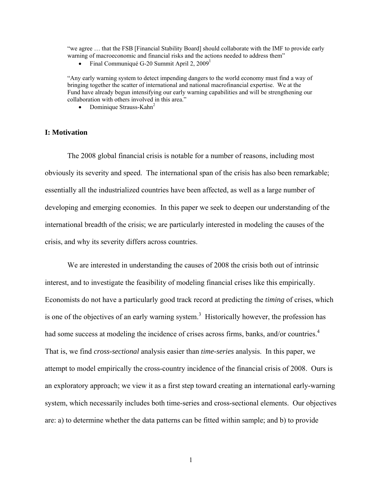"we agree … that the FSB [Financial Stability Board] should collaborate with the IMF to provide early warning of macroeconomic and financial risks and the actions needed to address them"

• Final Communiqué G-20 Summit April 2,  $2009<sup>1</sup>$ 

"Any early warning system to detect impending dangers to the world economy must find a way of bringing together the scatter of international and national macrofinancial expertise. We at the Fund have already begun intensifying our early warning capabilities and will be strengthening our collaboration with others involved in this area."

• Dominique Strauss-Kahn<sup>2</sup>

#### **I: Motivation**

The 2008 global financial crisis is notable for a number of reasons, including most obviously its severity and speed. The international span of the crisis has also been remarkable; essentially all the industrialized countries have been affected, as well as a large number of developing and emerging economies. In this paper we seek to deepen our understanding of the international breadth of the crisis; we are particularly interested in modeling the causes of the crisis, and why its severity differs across countries.

We are interested in understanding the causes of 2008 the crisis both out of intrinsic interest, and to investigate the feasibility of modeling financial crises like this empirically. Economists do not have a particularly good track record at predicting the *timing* of crises, which is one of the objectives of an early warning system.<sup>3</sup> Historically however, the profession has had some success at modeling the incidence of crises across firms, banks, and/or countries.<sup>4</sup> That is, we find *cross-sectional* analysis easier than *time-series* analysis. In this paper, we attempt to model empirically the cross-country incidence of the financial crisis of 2008. Ours is an exploratory approach; we view it as a first step toward creating an international early-warning system, which necessarily includes both time-series and cross-sectional elements. Our objectives are: a) to determine whether the data patterns can be fitted within sample; and b) to provide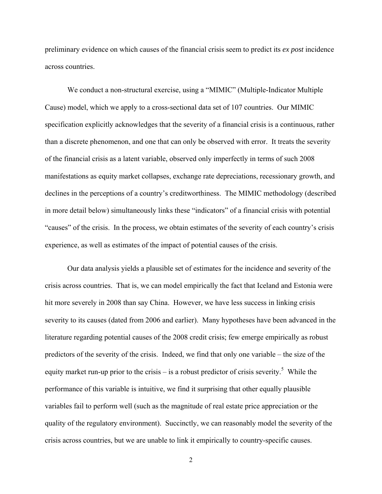preliminary evidence on which causes of the financial crisis seem to predict its *ex post* incidence across countries.

We conduct a non-structural exercise, using a "MIMIC" (Multiple-Indicator Multiple Cause) model, which we apply to a cross-sectional data set of 107 countries. Our MIMIC specification explicitly acknowledges that the severity of a financial crisis is a continuous, rather than a discrete phenomenon, and one that can only be observed with error. It treats the severity of the financial crisis as a latent variable, observed only imperfectly in terms of such 2008 manifestations as equity market collapses, exchange rate depreciations, recessionary growth, and declines in the perceptions of a country's creditworthiness. The MIMIC methodology (described in more detail below) simultaneously links these "indicators" of a financial crisis with potential "causes" of the crisis. In the process, we obtain estimates of the severity of each country's crisis experience, as well as estimates of the impact of potential causes of the crisis.

Our data analysis yields a plausible set of estimates for the incidence and severity of the crisis across countries. That is, we can model empirically the fact that Iceland and Estonia were hit more severely in 2008 than say China. However, we have less success in linking crisis severity to its causes (dated from 2006 and earlier). Many hypotheses have been advanced in the literature regarding potential causes of the 2008 credit crisis; few emerge empirically as robust predictors of the severity of the crisis. Indeed, we find that only one variable – the size of the equity market run-up prior to the crisis – is a robust predictor of crisis severity.<sup>5</sup> While the performance of this variable is intuitive, we find it surprising that other equally plausible variables fail to perform well (such as the magnitude of real estate price appreciation or the quality of the regulatory environment). Succinctly, we can reasonably model the severity of the crisis across countries, but we are unable to link it empirically to country-specific causes.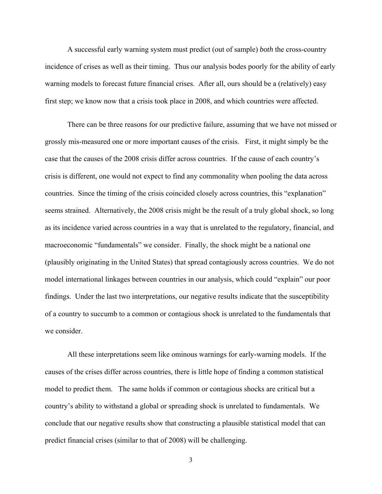A successful early warning system must predict (out of sample) *both* the cross-country incidence of crises as well as their timing. Thus our analysis bodes poorly for the ability of early warning models to forecast future financial crises. After all, ours should be a (relatively) easy first step; we know now that a crisis took place in 2008, and which countries were affected.

There can be three reasons for our predictive failure, assuming that we have not missed or grossly mis-measured one or more important causes of the crisis. First, it might simply be the case that the causes of the 2008 crisis differ across countries. If the cause of each country's crisis is different, one would not expect to find any commonality when pooling the data across countries. Since the timing of the crisis coincided closely across countries, this "explanation" seems strained. Alternatively, the 2008 crisis might be the result of a truly global shock, so long as its incidence varied across countries in a way that is unrelated to the regulatory, financial, and macroeconomic "fundamentals" we consider. Finally, the shock might be a national one (plausibly originating in the United States) that spread contagiously across countries. We do not model international linkages between countries in our analysis, which could "explain" our poor findings. Under the last two interpretations, our negative results indicate that the susceptibility of a country to succumb to a common or contagious shock is unrelated to the fundamentals that we consider.

All these interpretations seem like ominous warnings for early-warning models. If the causes of the crises differ across countries, there is little hope of finding a common statistical model to predict them. The same holds if common or contagious shocks are critical but a country's ability to withstand a global or spreading shock is unrelated to fundamentals. We conclude that our negative results show that constructing a plausible statistical model that can predict financial crises (similar to that of 2008) will be challenging.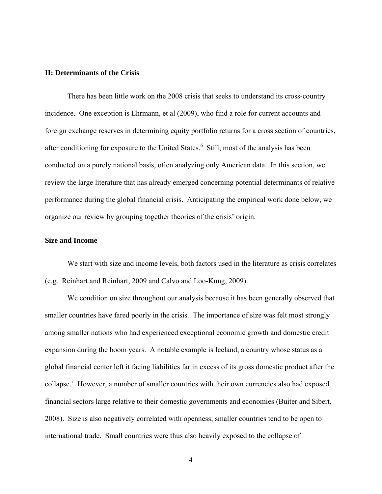#### **II: Determinants of the Crisis**

There has been little work on the 2008 crisis that seeks to understand its cross-country incidence. One exception is Ehrmann, et al (2009), who find a role for current accounts and foreign exchange reserves in determining equity portfolio returns for a cross section of countries, after conditioning for exposure to the United States.<sup>6</sup> Still, most of the analysis has been conducted on a purely national basis, often analyzing only American data. In this section, we review the large literature that has already emerged concerning potential determinants of relative performance during the global financial crisis. Anticipating the empirical work done below, we organize our review by grouping together theories of the crisis' origin.

#### **Size and Income**

We start with size and income levels, both factors used in the literature as crisis correlates (e.g. Reinhart and Reinhart, 2009 and Calvo and Loo-Kung, 2009).

We condition on size throughout our analysis because it has been generally observed that smaller countries have fared poorly in the crisis. The importance of size was felt most strongly among smaller nations who had experienced exceptional economic growth and domestic credit expansion during the boom years. A notable example is Iceland, a country whose status as a global financial center left it facing liabilities far in excess of its gross domestic product after the collapse.<sup>7</sup> However, a number of smaller countries with their own currencies also had exposed financial sectors large relative to their domestic governments and economies (Buiter and Sibert, 2008). Size is also negatively correlated with openness; smaller countries tend to be open to international trade. Small countries were thus also heavily exposed to the collapse of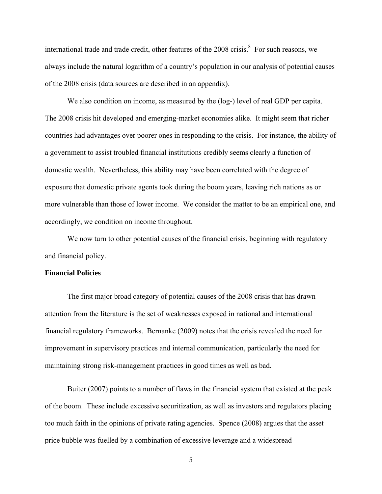international trade and trade credit, other features of the  $2008$  crisis.<sup>8</sup> For such reasons, we always include the natural logarithm of a country's population in our analysis of potential causes of the 2008 crisis (data sources are described in an appendix).

We also condition on income, as measured by the (log-) level of real GDP per capita. The 2008 crisis hit developed and emerging-market economies alike. It might seem that richer countries had advantages over poorer ones in responding to the crisis. For instance, the ability of a government to assist troubled financial institutions credibly seems clearly a function of domestic wealth. Nevertheless, this ability may have been correlated with the degree of exposure that domestic private agents took during the boom years, leaving rich nations as or more vulnerable than those of lower income. We consider the matter to be an empirical one, and accordingly, we condition on income throughout.

We now turn to other potential causes of the financial crisis, beginning with regulatory and financial policy.

#### **Financial Policies**

The first major broad category of potential causes of the 2008 crisis that has drawn attention from the literature is the set of weaknesses exposed in national and international financial regulatory frameworks. Bernanke (2009) notes that the crisis revealed the need for improvement in supervisory practices and internal communication, particularly the need for maintaining strong risk-management practices in good times as well as bad.

Buiter (2007) points to a number of flaws in the financial system that existed at the peak of the boom. These include excessive securitization, as well as investors and regulators placing too much faith in the opinions of private rating agencies. Spence (2008) argues that the asset price bubble was fuelled by a combination of excessive leverage and a widespread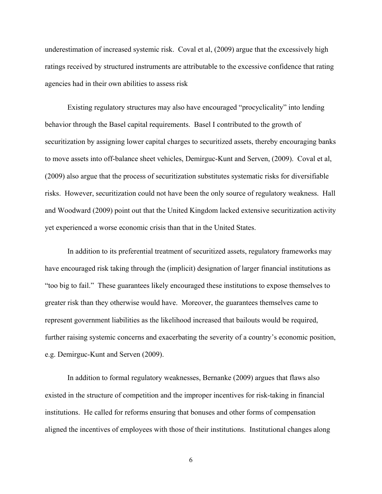underestimation of increased systemic risk. Coval et al, (2009) argue that the excessively high ratings received by structured instruments are attributable to the excessive confidence that rating agencies had in their own abilities to assess risk

Existing regulatory structures may also have encouraged "procyclicality" into lending behavior through the Basel capital requirements. Basel I contributed to the growth of securitization by assigning lower capital charges to securitized assets, thereby encouraging banks to move assets into off-balance sheet vehicles, Demirguc-Kunt and Serven, (2009). Coval et al, (2009) also argue that the process of securitization substitutes systematic risks for diversifiable risks. However, securitization could not have been the only source of regulatory weakness. Hall and Woodward (2009) point out that the United Kingdom lacked extensive securitization activity yet experienced a worse economic crisis than that in the United States.

In addition to its preferential treatment of securitized assets, regulatory frameworks may have encouraged risk taking through the (implicit) designation of larger financial institutions as "too big to fail." These guarantees likely encouraged these institutions to expose themselves to greater risk than they otherwise would have. Moreover, the guarantees themselves came to represent government liabilities as the likelihood increased that bailouts would be required, further raising systemic concerns and exacerbating the severity of a country's economic position, e.g. Demirguc-Kunt and Serven (2009).

In addition to formal regulatory weaknesses, Bernanke (2009) argues that flaws also existed in the structure of competition and the improper incentives for risk-taking in financial institutions. He called for reforms ensuring that bonuses and other forms of compensation aligned the incentives of employees with those of their institutions. Institutional changes along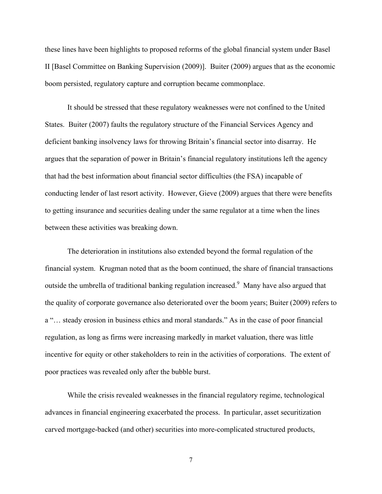these lines have been highlights to proposed reforms of the global financial system under Basel II [Basel Committee on Banking Supervision (2009)]. Buiter (2009) argues that as the economic boom persisted, regulatory capture and corruption became commonplace.

It should be stressed that these regulatory weaknesses were not confined to the United States. Buiter (2007) faults the regulatory structure of the Financial Services Agency and deficient banking insolvency laws for throwing Britain's financial sector into disarray. He argues that the separation of power in Britain's financial regulatory institutions left the agency that had the best information about financial sector difficulties (the FSA) incapable of conducting lender of last resort activity. However, Gieve (2009) argues that there were benefits to getting insurance and securities dealing under the same regulator at a time when the lines between these activities was breaking down.

The deterioration in institutions also extended beyond the formal regulation of the financial system. Krugman noted that as the boom continued, the share of financial transactions outside the umbrella of traditional banking regulation increased.  $9$  Many have also argued that the quality of corporate governance also deteriorated over the boom years; Buiter (2009) refers to a "… steady erosion in business ethics and moral standards." As in the case of poor financial regulation, as long as firms were increasing markedly in market valuation, there was little incentive for equity or other stakeholders to rein in the activities of corporations. The extent of poor practices was revealed only after the bubble burst.

While the crisis revealed weaknesses in the financial regulatory regime, technological advances in financial engineering exacerbated the process. In particular, asset securitization carved mortgage-backed (and other) securities into more-complicated structured products,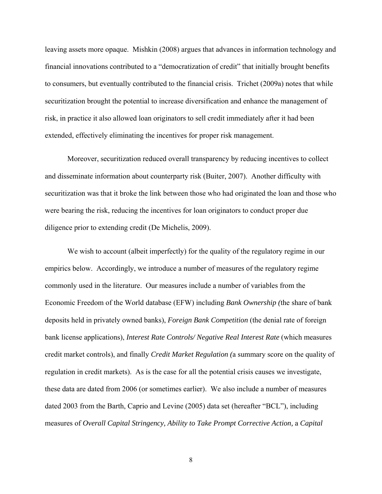leaving assets more opaque. Mishkin (2008) argues that advances in information technology and financial innovations contributed to a "democratization of credit" that initially brought benefits to consumers, but eventually contributed to the financial crisis. Trichet (2009a) notes that while securitization brought the potential to increase diversification and enhance the management of risk, in practice it also allowed loan originators to sell credit immediately after it had been extended, effectively eliminating the incentives for proper risk management.

 Moreover, securitization reduced overall transparency by reducing incentives to collect and disseminate information about counterparty risk (Buiter, 2007). Another difficulty with securitization was that it broke the link between those who had originated the loan and those who were bearing the risk, reducing the incentives for loan originators to conduct proper due diligence prior to extending credit (De Michelis, 2009).

We wish to account (albeit imperfectly) for the quality of the regulatory regime in our empirics below. Accordingly, we introduce a number of measures of the regulatory regime commonly used in the literature. Our measures include a number of variables from the Economic Freedom of the World database (EFW) including *Bank Ownership (*the share of bank deposits held in privately owned banks), *Foreign Bank Competition* (the denial rate of foreign bank license applications), *Interest Rate Controls/ Negative Real Interest Rate* (which measures credit market controls), and finally *Credit Market Regulation (*a summary score on the quality of regulation in credit markets). As is the case for all the potential crisis causes we investigate, these data are dated from 2006 (or sometimes earlier). We also include a number of measures dated 2003 from the Barth, Caprio and Levine (2005) data set (hereafter "BCL"), including measures of *Overall Capital Stringency, Ability to Take Prompt Corrective Action,* a *Capital*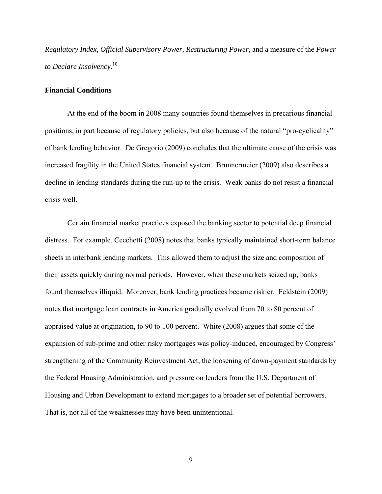*Regulatory Index, Official Supervisory Power, Restructuring Power,* and a measure of the *Power to Declare Insolvency.*<sup>10</sup>

#### **Financial Conditions**

At the end of the boom in 2008 many countries found themselves in precarious financial positions, in part because of regulatory policies, but also because of the natural "pro-cyclicality" of bank lending behavior. De Gregorio (2009) concludes that the ultimate cause of the crisis was increased fragility in the United States financial system. Brunnermeier (2009) also describes a decline in lending standards during the run-up to the crisis. Weak banks do not resist a financial crisis well.

Certain financial market practices exposed the banking sector to potential deep financial distress. For example, Cecchetti (2008) notes that banks typically maintained short-term balance sheets in interbank lending markets. This allowed them to adjust the size and composition of their assets quickly during normal periods. However, when these markets seized up, banks found themselves illiquid. Moreover, bank lending practices became riskier. Feldstein (2009) notes that mortgage loan contracts in America gradually evolved from 70 to 80 percent of appraised value at origination, to 90 to 100 percent. White (2008) argues that some of the expansion of sub-prime and other risky mortgages was policy-induced, encouraged by Congress' strengthening of the Community Reinvestment Act, the loosening of down-payment standards by the Federal Housing Administration, and pressure on lenders from the U.S. Department of Housing and Urban Development to extend mortgages to a broader set of potential borrowers. That is, not all of the weaknesses may have been unintentional.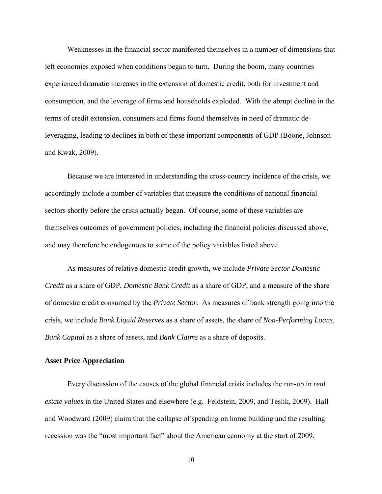Weaknesses in the financial sector manifested themselves in a number of dimensions that left economies exposed when conditions began to turn. During the boom, many countries experienced dramatic increases in the extension of domestic credit, both for investment and consumption, and the leverage of firms and households exploded. With the abrupt decline in the terms of credit extension, consumers and firms found themselves in need of dramatic deleveraging, leading to declines in both of these important components of GDP (Boone, Johnson and Kwak, 2009).

 Because we are interested in understanding the cross-country incidence of the crisis, we accordingly include a number of variables that measure the conditions of national financial sectors shortly before the crisis actually began. Of course, some of these variables are themselves outcomes of government policies, including the financial policies discussed above, and may therefore be endogenous to some of the policy variables listed above.

 As measures of relative domestic credit growth, we include *Private Sector Domestic Credit* as a share of GDP, *Domestic Bank Credit* as a share of GDP, and a measure of the share of domestic credit consumed by the *Private Sector.* As measures of bank strength going into the crisis, we include *Bank Liquid Reserves* as a share of assets, the share of *Non-Performing Loans, Bank Capital* as a share of assets, and *Bank Claims* as a share of deposits.

#### **Asset Price Appreciation**

Every discussion of the causes of the global financial crisis includes the run-up in *real estate values* in the United States and elsewhere (e.g. Feldstein, 2009, and Teslik, 2009). Hall and Woodward (2009) claim that the collapse of spending on home building and the resulting recession was the "most important fact" about the American economy at the start of 2009.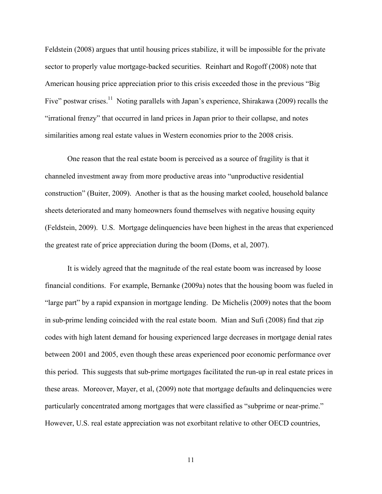Feldstein (2008) argues that until housing prices stabilize, it will be impossible for the private sector to properly value mortgage-backed securities. Reinhart and Rogoff (2008) note that American housing price appreciation prior to this crisis exceeded those in the previous "Big Five" postwar crises.<sup>11</sup> Noting parallels with Japan's experience, Shirakawa (2009) recalls the "irrational frenzy" that occurred in land prices in Japan prior to their collapse, and notes similarities among real estate values in Western economies prior to the 2008 crisis.

One reason that the real estate boom is perceived as a source of fragility is that it channeled investment away from more productive areas into "unproductive residential construction" (Buiter, 2009). Another is that as the housing market cooled, household balance sheets deteriorated and many homeowners found themselves with negative housing equity (Feldstein, 2009). U.S. Mortgage delinquencies have been highest in the areas that experienced the greatest rate of price appreciation during the boom (Doms, et al, 2007).

It is widely agreed that the magnitude of the real estate boom was increased by loose financial conditions. For example, Bernanke (2009a) notes that the housing boom was fueled in "large part" by a rapid expansion in mortgage lending. De Michelis (2009) notes that the boom in sub-prime lending coincided with the real estate boom. Mian and Sufi (2008) find that zip codes with high latent demand for housing experienced large decreases in mortgage denial rates between 2001 and 2005, even though these areas experienced poor economic performance over this period. This suggests that sub-prime mortgages facilitated the run-up in real estate prices in these areas. Moreover, Mayer, et al, (2009) note that mortgage defaults and delinquencies were particularly concentrated among mortgages that were classified as "subprime or near-prime." However, U.S. real estate appreciation was not exorbitant relative to other OECD countries,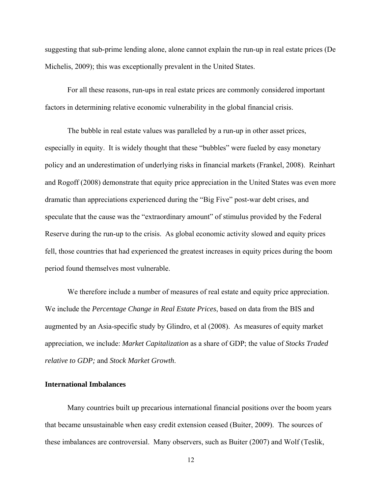suggesting that sub-prime lending alone, alone cannot explain the run-up in real estate prices (De Michelis, 2009); this was exceptionally prevalent in the United States.

For all these reasons, run-ups in real estate prices are commonly considered important factors in determining relative economic vulnerability in the global financial crisis.

The bubble in real estate values was paralleled by a run-up in other asset prices, especially in equity. It is widely thought that these "bubbles" were fueled by easy monetary policy and an underestimation of underlying risks in financial markets (Frankel, 2008). Reinhart and Rogoff (2008) demonstrate that equity price appreciation in the United States was even more dramatic than appreciations experienced during the "Big Five" post-war debt crises, and speculate that the cause was the "extraordinary amount" of stimulus provided by the Federal Reserve during the run-up to the crisis. As global economic activity slowed and equity prices fell, those countries that had experienced the greatest increases in equity prices during the boom period found themselves most vulnerable.

We therefore include a number of measures of real estate and equity price appreciation. We include the *Percentage Change in Real Estate Prices*, based on data from the BIS and augmented by an Asia-specific study by Glindro, et al (2008). As measures of equity market appreciation, we include: *Market Capitalization* as a share of GDP; the value of *Stocks Traded relative to GDP;* and *Stock Market Growth*.

### **International Imbalances**

 Many countries built up precarious international financial positions over the boom years that became unsustainable when easy credit extension ceased (Buiter, 2009). The sources of these imbalances are controversial. Many observers, such as Buiter (2007) and Wolf (Teslik,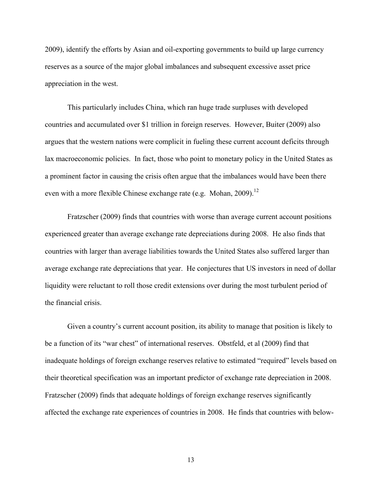2009), identify the efforts by Asian and oil-exporting governments to build up large currency reserves as a source of the major global imbalances and subsequent excessive asset price appreciation in the west.

This particularly includes China, which ran huge trade surpluses with developed countries and accumulated over \$1 trillion in foreign reserves. However, Buiter (2009) also argues that the western nations were complicit in fueling these current account deficits through lax macroeconomic policies. In fact, those who point to monetary policy in the United States as a prominent factor in causing the crisis often argue that the imbalances would have been there even with a more flexible Chinese exchange rate (e.g. Mohan, 2009).<sup>12</sup>

Fratzscher (2009) finds that countries with worse than average current account positions experienced greater than average exchange rate depreciations during 2008. He also finds that countries with larger than average liabilities towards the United States also suffered larger than average exchange rate depreciations that year. He conjectures that US investors in need of dollar liquidity were reluctant to roll those credit extensions over during the most turbulent period of the financial crisis.

Given a country's current account position, its ability to manage that position is likely to be a function of its "war chest" of international reserves. Obstfeld, et al (2009) find that inadequate holdings of foreign exchange reserves relative to estimated "required" levels based on their theoretical specification was an important predictor of exchange rate depreciation in 2008. Fratzscher (2009) finds that adequate holdings of foreign exchange reserves significantly affected the exchange rate experiences of countries in 2008. He finds that countries with below-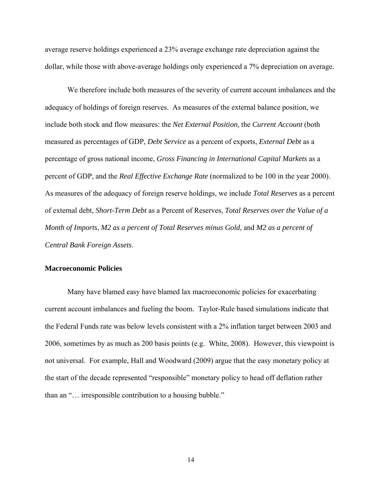average reserve holdings experienced a 23% average exchange rate depreciation against the dollar, while those with above-average holdings only experienced a 7% depreciation on average.

 We therefore include both measures of the severity of current account imbalances and the adequacy of holdings of foreign reserves. As measures of the external balance position, we include both stock and flow measures: the *Net External Position*, the *Current Account* (both measured as percentages of GDP, *Debt Service* as a percent of exports, *External Debt* as a percentage of gross national income, *Gross Financing in International Capital Markets* as a percent of GDP, and the *Real Effective Exchange Rate* (normalized to be 100 in the year 2000). As measures of the adequacy of foreign reserve holdings, we include *Total Reserves* as a percent of external debt, *Short-Term Debt* as a Percent of Reserves, *Total Reserves over the Value of a Month of Imports*, *M2 as a percent of Total Reserves minus Gold*, and *M2 as a percent of Central Bank Foreign Assets*.

#### **Macroeconomic Policies**

 Many have blamed easy have blamed lax macroeconomic policies for exacerbating current account imbalances and fueling the boom. Taylor-Rule based simulations indicate that the Federal Funds rate was below levels consistent with a 2% inflation target between 2003 and 2006, sometimes by as much as 200 basis points (e.g. White, 2008). However, this viewpoint is not universal. For example, Hall and Woodward (2009) argue that the easy monetary policy at the start of the decade represented "responsible" monetary policy to head off deflation rather than an "… irresponsible contribution to a housing bubble."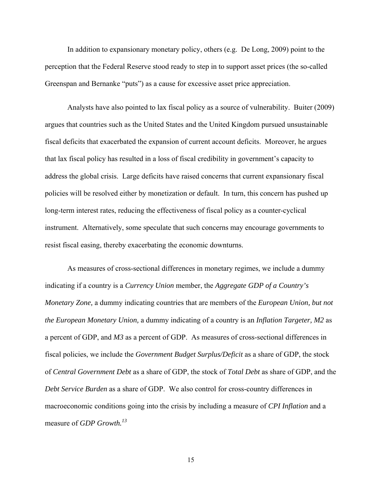In addition to expansionary monetary policy, others (e.g. De Long, 2009) point to the perception that the Federal Reserve stood ready to step in to support asset prices (the so-called Greenspan and Bernanke "puts") as a cause for excessive asset price appreciation.

Analysts have also pointed to lax fiscal policy as a source of vulnerability. Buiter (2009) argues that countries such as the United States and the United Kingdom pursued unsustainable fiscal deficits that exacerbated the expansion of current account deficits. Moreover, he argues that lax fiscal policy has resulted in a loss of fiscal credibility in government's capacity to address the global crisis. Large deficits have raised concerns that current expansionary fiscal policies will be resolved either by monetization or default. In turn, this concern has pushed up long-term interest rates, reducing the effectiveness of fiscal policy as a counter-cyclical instrument. Alternatively, some speculate that such concerns may encourage governments to resist fiscal easing, thereby exacerbating the economic downturns.

As measures of cross-sectional differences in monetary regimes, we include a dummy indicating if a country is a *Currency Union* member, the *Aggregate GDP of a Country's Monetary Zone,* a dummy indicating countries that are members of the *European Union, but not the European Monetary Union,* a dummy indicating of a country is an *Inflation Targeter, M2* as a percent of GDP, and *M3* as a percent of GDP. As measures of cross-sectional differences in fiscal policies, we include the *Government Budget Surplus/Deficit* as a share of GDP, the stock of *Central Government Debt* as a share of GDP, the stock of *Total Debt* as share of GDP, and the *Debt Service Burden* as a share of GDP. We also control for cross-country differences in macroeconomic conditions going into the crisis by including a measure of *CPI Inflation* and a measure of *GDP Growth.<sup>13</sup>*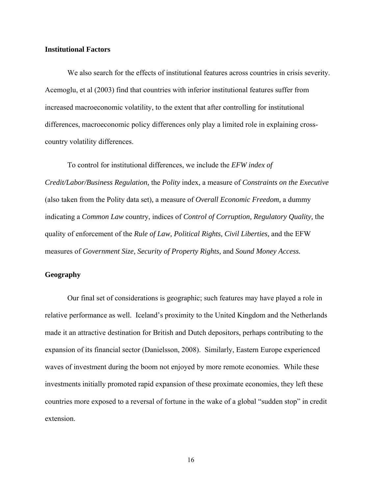#### **Institutional Factors**

 We also search for the effects of institutional features across countries in crisis severity. Acemoglu, et al (2003) find that countries with inferior institutional features suffer from increased macroeconomic volatility, to the extent that after controlling for institutional differences, macroeconomic policy differences only play a limited role in explaining crosscountry volatility differences.

 To control for institutional differences, we include the *EFW index of Credit/Labor/Business Regulation,* the *Polity* index, a measure of *Constraints on the Executive*  (also taken from the Polity data set)*,* a measure of *Overall Economic Freedom,* a dummy indicating a *Common Law* country, indices of *Control of Corruption, Regulatory Quality,* the quality of enforcement of the *Rule of Law, Political Rights, Civil Liberties,* and the EFW measures of *Government Size, Security of Property Rights,* and *Sound Money Access.*

### **Geography**

 Our final set of considerations is geographic; such features may have played a role in relative performance as well. Iceland's proximity to the United Kingdom and the Netherlands made it an attractive destination for British and Dutch depositors, perhaps contributing to the expansion of its financial sector (Danielsson, 2008). Similarly, Eastern Europe experienced waves of investment during the boom not enjoyed by more remote economies. While these investments initially promoted rapid expansion of these proximate economies, they left these countries more exposed to a reversal of fortune in the wake of a global "sudden stop" in credit extension.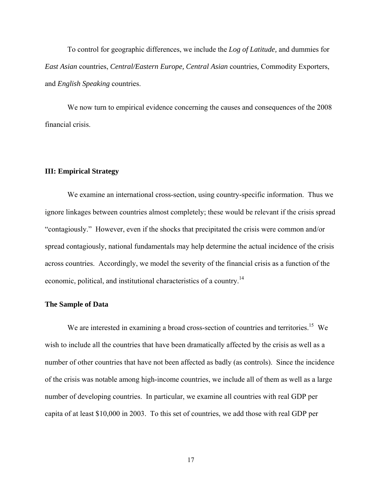To control for geographic differences, we include the *Log of Latitude,* and dummies for *East Asian* countries, *Central/Eastern Europe, Central Asian* countries*,* Commodity Exporters, and *English Speaking* countries.

 We now turn to empirical evidence concerning the causes and consequences of the 2008 financial crisis.

#### **III: Empirical Strategy**

We examine an international cross-section, using country-specific information. Thus we ignore linkages between countries almost completely; these would be relevant if the crisis spread "contagiously." However, even if the shocks that precipitated the crisis were common and/or spread contagiously, national fundamentals may help determine the actual incidence of the crisis across countries. Accordingly, we model the severity of the financial crisis as a function of the economic, political, and institutional characteristics of a country.14

#### **The Sample of Data**

We are interested in examining a broad cross-section of countries and territories.<sup>15</sup> We wish to include all the countries that have been dramatically affected by the crisis as well as a number of other countries that have not been affected as badly (as controls). Since the incidence of the crisis was notable among high-income countries, we include all of them as well as a large number of developing countries. In particular, we examine all countries with real GDP per capita of at least \$10,000 in 2003. To this set of countries, we add those with real GDP per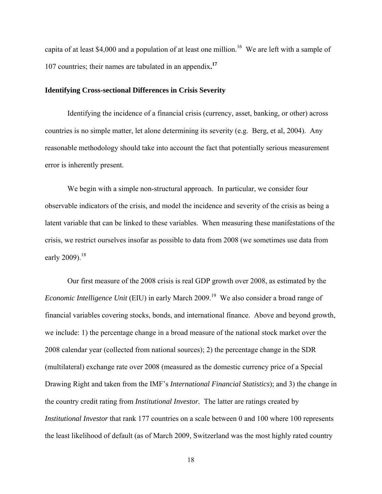capita of at least \$4,000 and a population of at least one million.<sup>16</sup> We are left with a sample of 107 countries; their names are tabulated in an appendix**. 17**

#### **Identifying Cross-sectional Differences in Crisis Severity**

Identifying the incidence of a financial crisis (currency, asset, banking, or other) across countries is no simple matter, let alone determining its severity (e.g. Berg, et al, 2004). Any reasonable methodology should take into account the fact that potentially serious measurement error is inherently present.

We begin with a simple non-structural approach. In particular, we consider four observable indicators of the crisis, and model the incidence and severity of the crisis as being a latent variable that can be linked to these variables. When measuring these manifestations of the crisis, we restrict ourselves insofar as possible to data from 2008 (we sometimes use data from early 2009).<sup>18</sup>

Our first measure of the 2008 crisis is real GDP growth over 2008, as estimated by the *Economic Intelligence Unit* (EIU) in early March 2009.<sup>19</sup> We also consider a broad range of financial variables covering stocks, bonds, and international finance. Above and beyond growth, we include: 1) the percentage change in a broad measure of the national stock market over the 2008 calendar year (collected from national sources); 2) the percentage change in the SDR (multilateral) exchange rate over 2008 (measured as the domestic currency price of a Special Drawing Right and taken from the IMF's *International Financial Statistics*); and 3) the change in the country credit rating from *Institutional Investor.* The latter are ratings created by *Institutional Investor* that rank 177 countries on a scale between 0 and 100 where 100 represents the least likelihood of default (as of March 2009, Switzerland was the most highly rated country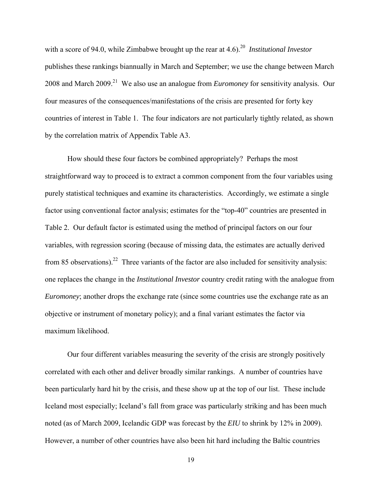with a score of 94.0, while Zimbabwe brought up the rear at 4.6).<sup>20</sup> *Institutional Investor* publishes these rankings biannually in March and September; we use the change between March 2008 and March 2009.21 We also use an analogue from *Euromoney* for sensitivity analysis. Our four measures of the consequences/manifestations of the crisis are presented for forty key countries of interest in Table 1. The four indicators are not particularly tightly related, as shown by the correlation matrix of Appendix Table A3.

How should these four factors be combined appropriately? Perhaps the most straightforward way to proceed is to extract a common component from the four variables using purely statistical techniques and examine its characteristics. Accordingly, we estimate a single factor using conventional factor analysis; estimates for the "top-40" countries are presented in Table 2. Our default factor is estimated using the method of principal factors on our four variables, with regression scoring (because of missing data, the estimates are actually derived from 85 observations).<sup>22</sup> Three variants of the factor are also included for sensitivity analysis: one replaces the change in the *Institutional Investor* country credit rating with the analogue from *Euromoney*; another drops the exchange rate (since some countries use the exchange rate as an objective or instrument of monetary policy); and a final variant estimates the factor via maximum likelihood.

Our four different variables measuring the severity of the crisis are strongly positively correlated with each other and deliver broadly similar rankings. A number of countries have been particularly hard hit by the crisis, and these show up at the top of our list. These include Iceland most especially; Iceland's fall from grace was particularly striking and has been much noted (as of March 2009, Icelandic GDP was forecast by the *EIU* to shrink by 12% in 2009). However, a number of other countries have also been hit hard including the Baltic countries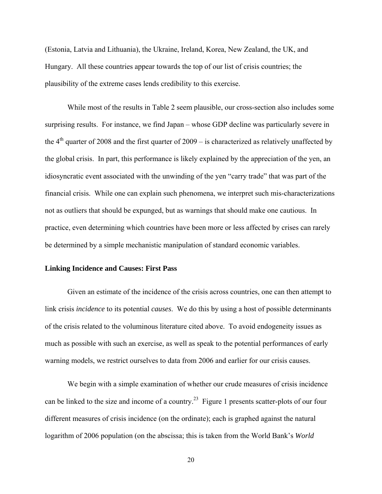(Estonia, Latvia and Lithuania), the Ukraine, Ireland, Korea, New Zealand, the UK, and Hungary. All these countries appear towards the top of our list of crisis countries; the plausibility of the extreme cases lends credibility to this exercise.

While most of the results in Table 2 seem plausible, our cross-section also includes some surprising results. For instance, we find Japan – whose GDP decline was particularly severe in the  $4<sup>th</sup>$  quarter of 2008 and the first quarter of 2009 – is characterized as relatively unaffected by the global crisis. In part, this performance is likely explained by the appreciation of the yen, an idiosyncratic event associated with the unwinding of the yen "carry trade" that was part of the financial crisis. While one can explain such phenomena, we interpret such mis-characterizations not as outliers that should be expunged, but as warnings that should make one cautious. In practice, even determining which countries have been more or less affected by crises can rarely be determined by a simple mechanistic manipulation of standard economic variables.

#### **Linking Incidence and Causes: First Pass**

Given an estimate of the incidence of the crisis across countries, one can then attempt to link crisis *incidence* to its potential *causes*. We do this by using a host of possible determinants of the crisis related to the voluminous literature cited above. To avoid endogeneity issues as much as possible with such an exercise, as well as speak to the potential performances of early warning models, we restrict ourselves to data from 2006 and earlier for our crisis causes.

We begin with a simple examination of whether our crude measures of crisis incidence can be linked to the size and income of a country.<sup>23</sup> Figure 1 presents scatter-plots of our four different measures of crisis incidence (on the ordinate); each is graphed against the natural logarithm of 2006 population (on the abscissa; this is taken from the World Bank's *World*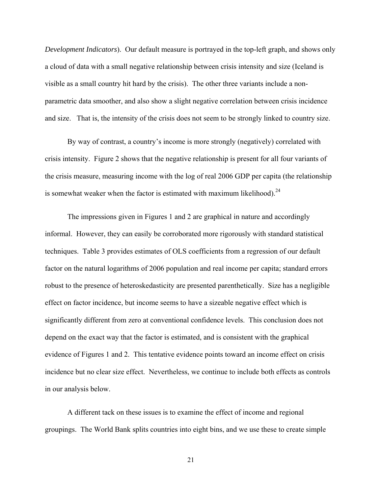*Development Indicators*). Our default measure is portrayed in the top-left graph, and shows only a cloud of data with a small negative relationship between crisis intensity and size (Iceland is visible as a small country hit hard by the crisis). The other three variants include a nonparametric data smoother, and also show a slight negative correlation between crisis incidence and size. That is, the intensity of the crisis does not seem to be strongly linked to country size.

By way of contrast, a country's income is more strongly (negatively) correlated with crisis intensity. Figure 2 shows that the negative relationship is present for all four variants of the crisis measure, measuring income with the log of real 2006 GDP per capita (the relationship is somewhat weaker when the factor is estimated with maximum likelihood).<sup>24</sup>

The impressions given in Figures 1 and 2 are graphical in nature and accordingly informal. However, they can easily be corroborated more rigorously with standard statistical techniques. Table 3 provides estimates of OLS coefficients from a regression of our default factor on the natural logarithms of 2006 population and real income per capita; standard errors robust to the presence of heteroskedasticity are presented parenthetically. Size has a negligible effect on factor incidence, but income seems to have a sizeable negative effect which is significantly different from zero at conventional confidence levels. This conclusion does not depend on the exact way that the factor is estimated, and is consistent with the graphical evidence of Figures 1 and 2. This tentative evidence points toward an income effect on crisis incidence but no clear size effect. Nevertheless, we continue to include both effects as controls in our analysis below.

A different tack on these issues is to examine the effect of income and regional groupings. The World Bank splits countries into eight bins, and we use these to create simple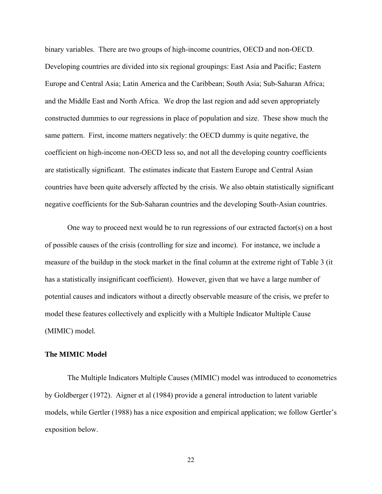binary variables. There are two groups of high-income countries, OECD and non-OECD. Developing countries are divided into six regional groupings: East Asia and Pacific; Eastern Europe and Central Asia; Latin America and the Caribbean; South Asia; Sub-Saharan Africa; and the Middle East and North Africa. We drop the last region and add seven appropriately constructed dummies to our regressions in place of population and size. These show much the same pattern. First, income matters negatively: the OECD dummy is quite negative, the coefficient on high-income non-OECD less so, and not all the developing country coefficients are statistically significant. The estimates indicate that Eastern Europe and Central Asian countries have been quite adversely affected by the crisis. We also obtain statistically significant negative coefficients for the Sub-Saharan countries and the developing South-Asian countries.

One way to proceed next would be to run regressions of our extracted factor(s) on a host of possible causes of the crisis (controlling for size and income). For instance, we include a measure of the buildup in the stock market in the final column at the extreme right of Table 3 (it has a statistically insignificant coefficient). However, given that we have a large number of potential causes and indicators without a directly observable measure of the crisis, we prefer to model these features collectively and explicitly with a Multiple Indicator Multiple Cause (MIMIC) model.

#### **The MIMIC Model**

The Multiple Indicators Multiple Causes (MIMIC) model was introduced to econometrics by Goldberger (1972). Aigner et al (1984) provide a general introduction to latent variable models, while Gertler (1988) has a nice exposition and empirical application; we follow Gertler's exposition below.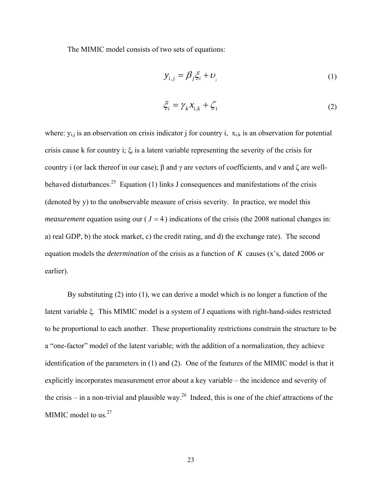The MIMIC model consists of two sets of equations:

$$
y_{i,j} = \beta_j \xi_i + \nu_i \tag{1}
$$

$$
\xi_i = \gamma_k x_{i,k} + \zeta_i \tag{2}
$$

where:  $y_{i,j}$  is an observation on crisis indicator j for country i,  $x_{i,k}$  is an observation for potential crisis cause k for country i;  $\xi_i$  is a latent variable representing the severity of the crisis for country i (or lack thereof in our case); β and γ are vectors of coefficients, and ν and ζ are wellbehaved disturbances.<sup>25</sup> Equation (1) links J consequences and manifestations of the crisis (denoted by y) to the unobservable measure of crisis severity. In practice, we model this *measurement* equation using our ( $J = 4$ ) indications of the crisis (the 2008 national changes in: a) real GDP, b) the stock market, c) the credit rating, and d) the exchange rate). The second equation models the *determination* of the crisis as a function of *K* causes (x's, dated 2006 or earlier).

By substituting (2) into (1), we can derive a model which is no longer a function of the latent variable ξ. This MIMIC model is a system of J equations with right-hand-sides restricted to be proportional to each another. These proportionality restrictions constrain the structure to be a "one-factor" model of the latent variable; with the addition of a normalization, they achieve identification of the parameters in (1) and (2). One of the features of the MIMIC model is that it explicitly incorporates measurement error about a key variable – the incidence and severity of the crisis – in a non-trivial and plausible way.<sup>26</sup> Indeed, this is one of the chief attractions of the MIMIC model to us. $27$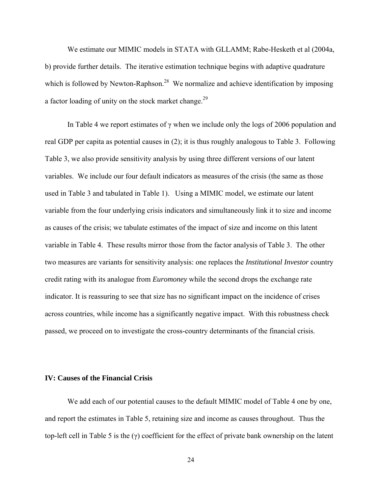We estimate our MIMIC models in STATA with GLLAMM; Rabe-Hesketh et al (2004a, b) provide further details. The iterative estimation technique begins with adaptive quadrature which is followed by Newton-Raphson.<sup>28</sup> We normalize and achieve identification by imposing a factor loading of unity on the stock market change.29

In Table 4 we report estimates of  $\gamma$  when we include only the logs of 2006 population and real GDP per capita as potential causes in (2); it is thus roughly analogous to Table 3. Following Table 3, we also provide sensitivity analysis by using three different versions of our latent variables. We include our four default indicators as measures of the crisis (the same as those used in Table 3 and tabulated in Table 1). Using a MIMIC model, we estimate our latent variable from the four underlying crisis indicators and simultaneously link it to size and income as causes of the crisis; we tabulate estimates of the impact of size and income on this latent variable in Table 4. These results mirror those from the factor analysis of Table 3. The other two measures are variants for sensitivity analysis: one replaces the *Institutional Investor* country credit rating with its analogue from *Euromoney* while the second drops the exchange rate indicator. It is reassuring to see that size has no significant impact on the incidence of crises across countries, while income has a significantly negative impact. With this robustness check passed, we proceed on to investigate the cross-country determinants of the financial crisis.

#### **IV: Causes of the Financial Crisis**

We add each of our potential causes to the default MIMIC model of Table 4 one by one, and report the estimates in Table 5, retaining size and income as causes throughout. Thus the top-left cell in Table 5 is the (γ) coefficient for the effect of private bank ownership on the latent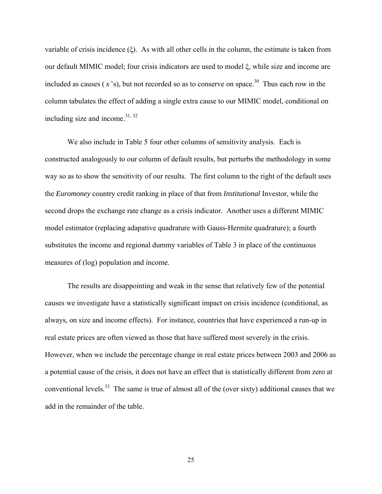variable of crisis incidence (ξ). As with all other cells in the column, the estimate is taken from our default MIMIC model; four crisis indicators are used to model ξ, while size and income are included as causes  $(x<sup>3</sup>)$ , but not recorded so as to conserve on space.<sup>30</sup> Thus each row in the column tabulates the effect of adding a single extra cause to our MIMIC model, conditional on including size and income.  $31, 32$ 

We also include in Table 5 four other columns of sensitivity analysis. Each is constructed analogously to our column of default results, but perturbs the methodology in some way so as to show the sensitivity of our results. The first column to the right of the default uses the *Euromoney* country credit ranking in place of that from *Institutional* Investor, while the second drops the exchange rate change as a crisis indicator. Another uses a different MIMIC model estimator (replacing adapative quadrature with Gauss-Hermite quadrature); a fourth substitutes the income and regional dummy variables of Table 3 in place of the continuous measures of (log) population and income.

The results are disappointing and weak in the sense that relatively few of the potential causes we investigate have a statistically significant impact on crisis incidence (conditional, as always, on size and income effects). For instance, countries that have experienced a run-up in real estate prices are often viewed as those that have suffered most severely in the crisis. However, when we include the percentage change in real estate prices between 2003 and 2006 as a potential cause of the crisis, it does not have an effect that is statistically different from zero at conventional levels.<sup>33</sup> The same is true of almost all of the (over sixty) additional causes that we add in the remainder of the table.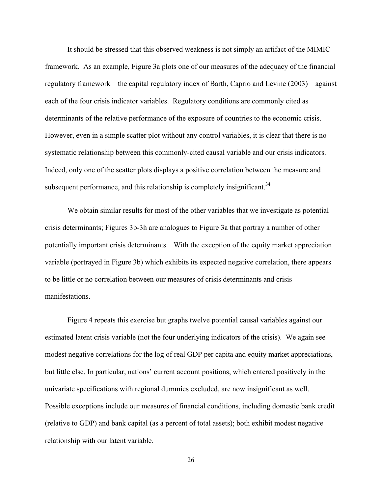It should be stressed that this observed weakness is not simply an artifact of the MIMIC framework. As an example, Figure 3a plots one of our measures of the adequacy of the financial regulatory framework – the capital regulatory index of Barth, Caprio and Levine (2003) – against each of the four crisis indicator variables. Regulatory conditions are commonly cited as determinants of the relative performance of the exposure of countries to the economic crisis. However, even in a simple scatter plot without any control variables, it is clear that there is no systematic relationship between this commonly-cited causal variable and our crisis indicators. Indeed, only one of the scatter plots displays a positive correlation between the measure and subsequent performance, and this relationship is completely insignificant.<sup>34</sup>

We obtain similar results for most of the other variables that we investigate as potential crisis determinants; Figures 3b-3h are analogues to Figure 3a that portray a number of other potentially important crisis determinants. With the exception of the equity market appreciation variable (portrayed in Figure 3b) which exhibits its expected negative correlation, there appears to be little or no correlation between our measures of crisis determinants and crisis manifestations.

Figure 4 repeats this exercise but graphs twelve potential causal variables against our estimated latent crisis variable (not the four underlying indicators of the crisis). We again see modest negative correlations for the log of real GDP per capita and equity market appreciations, but little else. In particular, nations' current account positions, which entered positively in the univariate specifications with regional dummies excluded, are now insignificant as well. Possible exceptions include our measures of financial conditions, including domestic bank credit (relative to GDP) and bank capital (as a percent of total assets); both exhibit modest negative relationship with our latent variable.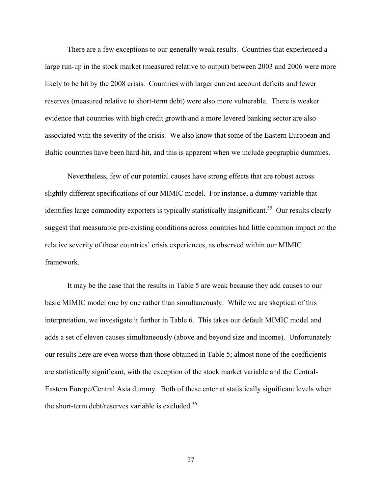There are a few exceptions to our generally weak results. Countries that experienced a large run-up in the stock market (measured relative to output) between 2003 and 2006 were more likely to be hit by the 2008 crisis. Countries with larger current account deficits and fewer reserves (measured relative to short-term debt) were also more vulnerable. There is weaker evidence that countries with high credit growth and a more levered banking sector are also associated with the severity of the crisis. We also know that some of the Eastern European and Baltic countries have been hard-hit, and this is apparent when we include geographic dummies.

Nevertheless, few of our potential causes have strong effects that are robust across slightly different specifications of our MIMIC model. For instance, a dummy variable that identifies large commodity exporters is typically statistically insignificant.<sup>35</sup> Our results clearly suggest that measurable pre-existing conditions across countries had little common impact on the relative severity of these countries' crisis experiences, as observed within our MIMIC framework.

It may be the case that the results in Table 5 are weak because they add causes to our basic MIMIC model one by one rather than simultaneously. While we are skeptical of this interpretation, we investigate it further in Table 6. This takes our default MIMIC model and adds a set of eleven causes simultaneously (above and beyond size and income). Unfortunately our results here are even worse than those obtained in Table 5; almost none of the coefficients are statistically significant, with the exception of the stock market variable and the Central-Eastern Europe/Central Asia dummy. Both of these enter at statistically significant levels when the short-term debt/reserves variable is excluded.<sup>36</sup>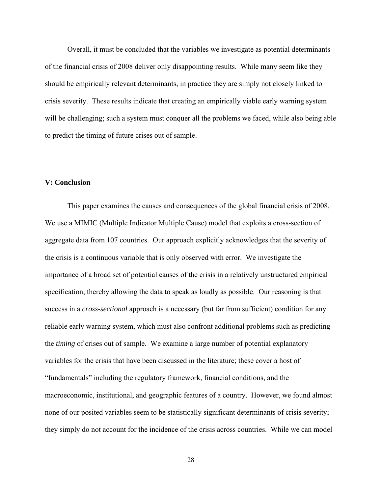Overall, it must be concluded that the variables we investigate as potential determinants of the financial crisis of 2008 deliver only disappointing results. While many seem like they should be empirically relevant determinants, in practice they are simply not closely linked to crisis severity. These results indicate that creating an empirically viable early warning system will be challenging; such a system must conquer all the problems we faced, while also being able to predict the timing of future crises out of sample.

#### **V: Conclusion**

This paper examines the causes and consequences of the global financial crisis of 2008. We use a MIMIC (Multiple Indicator Multiple Cause) model that exploits a cross-section of aggregate data from 107 countries. Our approach explicitly acknowledges that the severity of the crisis is a continuous variable that is only observed with error. We investigate the importance of a broad set of potential causes of the crisis in a relatively unstructured empirical specification, thereby allowing the data to speak as loudly as possible. Our reasoning is that success in a *cross-sectional* approach is a necessary (but far from sufficient) condition for any reliable early warning system, which must also confront additional problems such as predicting the *timing* of crises out of sample. We examine a large number of potential explanatory variables for the crisis that have been discussed in the literature; these cover a host of "fundamentals" including the regulatory framework, financial conditions, and the macroeconomic, institutional, and geographic features of a country. However, we found almost none of our posited variables seem to be statistically significant determinants of crisis severity; they simply do not account for the incidence of the crisis across countries. While we can model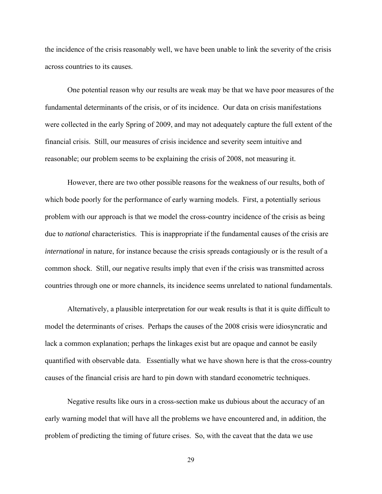the incidence of the crisis reasonably well, we have been unable to link the severity of the crisis across countries to its causes.

One potential reason why our results are weak may be that we have poor measures of the fundamental determinants of the crisis, or of its incidence. Our data on crisis manifestations were collected in the early Spring of 2009, and may not adequately capture the full extent of the financial crisis. Still, our measures of crisis incidence and severity seem intuitive and reasonable; our problem seems to be explaining the crisis of 2008, not measuring it.

However, there are two other possible reasons for the weakness of our results, both of which bode poorly for the performance of early warning models. First, a potentially serious problem with our approach is that we model the cross-country incidence of the crisis as being due to *national* characteristics. This is inappropriate if the fundamental causes of the crisis are *international* in nature, for instance because the crisis spreads contagiously or is the result of a common shock. Still, our negative results imply that even if the crisis was transmitted across countries through one or more channels, its incidence seems unrelated to national fundamentals.

Alternatively, a plausible interpretation for our weak results is that it is quite difficult to model the determinants of crises. Perhaps the causes of the 2008 crisis were idiosyncratic and lack a common explanation; perhaps the linkages exist but are opaque and cannot be easily quantified with observable data. Essentially what we have shown here is that the cross-country causes of the financial crisis are hard to pin down with standard econometric techniques.

Negative results like ours in a cross-section make us dubious about the accuracy of an early warning model that will have all the problems we have encountered and, in addition, the problem of predicting the timing of future crises. So, with the caveat that the data we use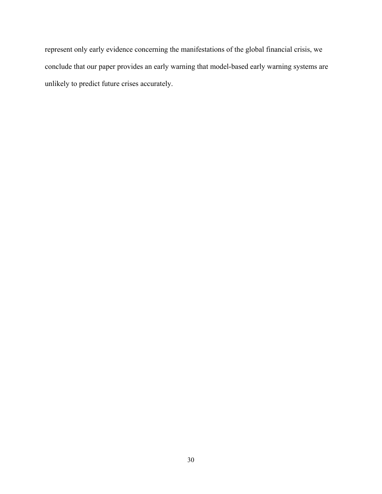represent only early evidence concerning the manifestations of the global financial crisis, we conclude that our paper provides an early warning that model-based early warning systems are unlikely to predict future crises accurately.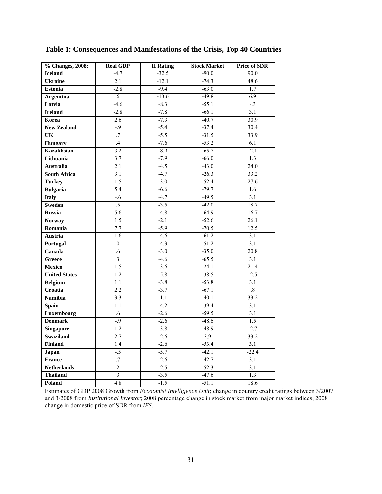| % Changes, 2008:     | <b>Real GDP</b>         | <b>II</b> Rating | <b>Stock Market</b> | <b>Price of SDR</b> |
|----------------------|-------------------------|------------------|---------------------|---------------------|
| <b>Iceland</b>       | $-4.7$                  | $-32.5$          | $-90.0$             | 90.0                |
| <b>Ukraine</b>       | $\overline{2.1}$        | $-12.1$          | $-74.3$             | 48.6                |
| <b>Estonia</b>       | $-2.8$                  | $-9.4$           | $-63.0$             | $\overline{1.7}$    |
| <b>Argentina</b>     | 6                       | $-13.6$          | $-49.8$             | 6.9                 |
| Latvia               | $-4.6$                  | $-8.3$           | $-55.1$             | $-3$                |
| <b>Ireland</b>       | $-2.8$                  | $-7.8$           | $-66.1$             | 3.1                 |
| Korea                | 2.6                     | $-7.3$           | $-40.7$             | 30.9                |
| <b>New Zealand</b>   | $-9$                    | $-5.4$           | $-37.4$             | 30.4                |
| UK                   | $\overline{.7}$         | $-5.5$           | $-31.5$             | 33.9                |
| <b>Hungary</b>       | .4                      | $-7.6$           | $-53.2$             | 6.1                 |
| <b>Kazakhstan</b>    | 3.2                     | $-8.9$           | $-65.7$             | $-2.1$              |
| Lithuania            | $\overline{3.7}$        | $-7.9$           | $-66.0$             | $\overline{1.3}$    |
| <b>Australia</b>     | $\overline{2.1}$        | $-4.5$           | $-43.0$             | $\overline{24.0}$   |
| <b>South Africa</b>  | 3.1                     | $-4.7$           | $-26.3$             | 33.2                |
| <b>Turkey</b>        | 1.5                     | $-3.0$           | $-52.4$             | 27.6                |
| <b>Bulgaria</b>      | $\overline{5.4}$        | $-6.6$           | $-79.7$             | 1.6                 |
| <b>Italy</b>         | $-6$                    | $-4.7$           | $-49.5$             | $\overline{3.1}$    |
| <b>Sweden</b>        | .5                      | $-3.5$           | $-42.0$             | 18.7                |
| <b>Russia</b>        | 5.6                     | $-4.8$           | $-64.9$             | 16.7                |
| <b>Norway</b>        | 1.5                     | $-2.1$           | $-52.6$             | 26.1                |
| Romania              | 7.7                     | $-5.9$           | $-70.5$             | 12.5                |
| Austria              | 1.6                     | $-4.6$           | $-61.2$             | 3.1                 |
| Portugal             | $\overline{0}$          | $-4.3$           | $-51.2$             | 3.1                 |
| Canada               | .6                      | $-3.0$           | $-35.0$             | 20.8                |
| Greece               | $\overline{3}$          | $-4.6$           | $-65.5$             | 3.1                 |
| <b>Mexico</b>        | 1.5                     | $-3.6$           | $-24.1$             | 21.4                |
| <b>United States</b> | 1.2                     | $-5.8$           | $-38.5$             | $-2.5$              |
| <b>Belgium</b>       | 1.1                     | $-3.8$           | $-53.8$             | $\overline{3.1}$    |
| Croatia              | $\overline{2.2}$        | $-3.7$           | $-67.1$             | $\overline{.8}$     |
| <b>Namibia</b>       | 3.3                     | $-1.1$           | $-40.1$             | 33.2                |
| <b>Spain</b>         | 1.1                     | $-4.2$           | $-39.4$             | 3.1                 |
| Luxembourg           | .6                      | $-2.6$           | $-59.5$             | 3.1                 |
| <b>Denmark</b>       | $-9$                    | $-2.6$           | $-48.6$             | $\overline{1.5}$    |
| <b>Singapore</b>     | $\overline{1.2}$        | $-3.8$           | $-48.9$             | $-2.7$              |
| Swaziland            | 2.7                     | $-2.6$           | 3.9                 | 33.2                |
| <b>Finland</b>       | 1.4                     | $-2.6$           | $-53.4$             | $\overline{3.1}$    |
| Japan                | $-5$                    | $-5.7$           | $-42.1$             | $-22.4$             |
| <b>France</b>        | $\overline{.7}$         | $-2.6$           | $-42.7$             | $\overline{3.1}$    |
| <b>Netherlands</b>   | $\overline{2}$          | $-2.5$           | $-52.3$             | 3.1                 |
| <b>Thailand</b>      | $\overline{\mathbf{3}}$ | $-3.5$           | $-47.6$             | 1.3                 |
| Poland               | $\overline{4.8}$        | $-1.5$           | $-51.1$             | 18.6                |

**Table 1: Consequences and Manifestations of the Crisis, Top 40 Countries**

Estimates of GDP 2008 Growth from *Economist Intelligence Unit*; change in country credit ratings between 3/2007 and 3/2008 from *Institutional Investor*; 2008 percentage change in stock market from major market indices; 2008 change in domestic price of SDR from *IFS.*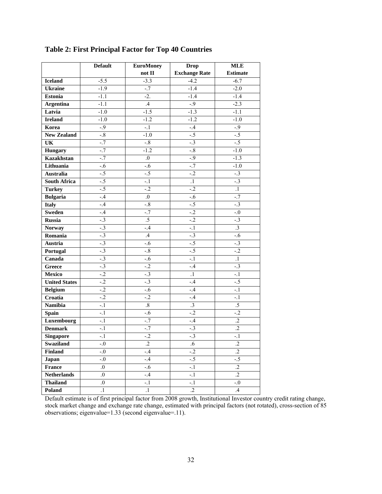|                        | <b>Default</b>     | <b>EuroMoney</b> | <b>Drop</b>          | <b>MLE</b>      |
|------------------------|--------------------|------------------|----------------------|-----------------|
|                        |                    | not II           | <b>Exchange Rate</b> | <b>Estimate</b> |
| <b>Iceland</b>         | $-5.5$             | $-3.3$           | $-4.2$               | $-6.7$          |
| <b>Ukraine</b>         | $-1.9$             | $\text{-}.7$     | $-1.4$               | $-2.0$          |
| <b>Estonia</b>         | $-1.1$             | $-2.$            | $-1.4$               | $-1.4$          |
| <b>Argentina</b>       | $-1.1$             | $\mathcal{A}$    | $-.9$                | $-2.3$          |
| Latvia                 | $-1.0$             | $-1.5$           | $-1.3$               | $-1.1$          |
| <b>Ireland</b>         | $-1.0$             | $-1.2$           | $-1.2$               | $-1.0$          |
| Korea                  | $-.9$              | $-.1$            | $-.4$                | $-0.9$          |
| <b>New Zealand</b>     | $-8$               | $-1.0$           | $-.5$                | $-5$            |
| $\overline{\text{UK}}$ | $-.7$              | $-8$             | $-3$                 | $-.5$           |
| <b>Hungary</b>         | $-7$               | $-1.2$           | $-8$                 | $-1.0$          |
| <b>Kazakhstan</b>      | $-7$               | 0.               | $-9$                 | $-1.3$          |
| Lithuania              | $-6$               | $-6$             | $-7$                 | $-1.0$          |
| <b>Australia</b>       | $-.5$              | $-.5$            | $-2$                 | $-.3$           |
| <b>South Africa</b>    | $-5$               | $-.1$            | $\cdot$ 1            | $-3$            |
| <b>Turkey</b>          | $-5$               | $-2$             | $-2$                 | $\overline{1}$  |
| <b>Bulgaria</b>        | $-4$               | $\overline{0}$   | $-6$                 | $-7$            |
| <b>Italy</b>           | $-.4$              | $-.8$            | $-.5$                | $-.3$           |
| Sweden                 | $-.4$              | $-.7$            | $-2$                 | $-0$            |
| <b>Russia</b>          | $-.3$              | $.5\,$           | $-.2$                | $-.3$           |
| <b>Norway</b>          | $-3$               | $-.4$            | $-1$                 | $\overline{.3}$ |
| Romania                | $-3$               | .4               | $-3$                 | $-0.6$          |
| <b>Austria</b>         | $-3$               | $-.6$            | $-5$                 | $-3$            |
| Portugal               | $-3$               | $-8$             | $-.5$                | $-2$            |
| Canada                 | $-3$               | $-.6$            | $-1$                 | $\overline{1}$  |
| Greece                 | $-3$               | $-2$             | $-4$                 | $-3$            |
| <b>Mexico</b>          | $-2$               | $-3$             | $\cdot$ 1            | $-1$            |
| <b>United States</b>   | $-2$               | $-3$             | $-.4$                | $-5$            |
| <b>Belgium</b>         | $-2$               | $-.6$            | $-.4$                | $-.1$           |
| Croatia                | $-2$               | $-.2$            | $-4$                 | $-.1$           |
| <b>Namibia</b>         | $-1$               | $\overline{.8}$  | $\overline{.3}$      | $\overline{.5}$ |
| <b>Spain</b>           | $-1$               | $-6$             | $-.2$                | $-2$            |
| Luxembourg             | $-.1$              | $\text{-}.7$     | $-.4$                | $\overline{.2}$ |
| <b>Denmark</b>         | $-.1$              | $-7$             | $-.3$                | $\overline{.2}$ |
| <b>Singapore</b>       | $-.1$              | $-.2$            | $-.3$                | $-.1$           |
| Swaziland              | $-0$               | $\cdot$          | $.6\,$               | $\cdot$         |
| <b>Finland</b>         | $-0.5$             | $-4$             | $-.2$                | $\overline{.2}$ |
| Japan                  | $-0$ .             | $-.4$            | $-.5$                | $-.5$           |
| France                 | $\overline{0}$ .   | $-.6$            | $-1$                 | $\overline{.2}$ |
| <b>Netherlands</b>     | $\boldsymbol{0}$ . | $-.4$            | $-.1$                | $\overline{.2}$ |
| <b>Thailand</b>        | $\overline{0}$ .   | $-1$             | $-1$                 | $-0$            |
| Poland                 | $\cdot$ 1          | $\cdot$ 1        | $\cdot$ .2           | $.4\,$          |

**Table 2: First Principal Factor for Top 40 Countries** 

Default estimate is of first principal factor from 2008 growth, Institutional Investor country credit rating change, stock market change and exchange rate change, estimated with principal factors (not rotated), cross-section of 85 observations; eigenvalue=1.33 (second eigenvalue=.11).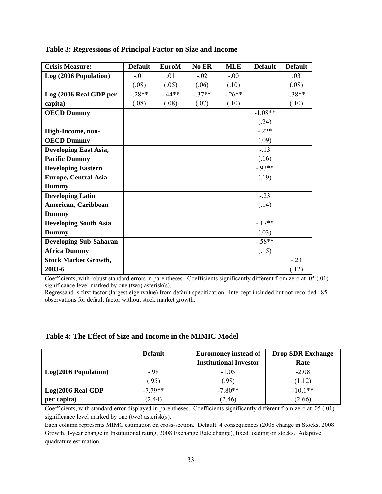| <b>Crisis Measure:</b>        | <b>Default</b> | <b>EuroM</b> | No ER    | <b>MLE</b> | <b>Default</b> | <b>Default</b> |
|-------------------------------|----------------|--------------|----------|------------|----------------|----------------|
| Log (2006 Population)         | $-.01$         | .01          | $-.02$   | $-0.00$    |                | .03            |
|                               | (.08)          | (.05)        | (.06)    | (.10)      |                | (.08)          |
| Log (2006 Real GDP per        | $-.28**$       | $-44**$      | $-.37**$ | $-.26**$   |                | $-.38**$       |
| capita)                       | (.08)          | (.08)        | (.07)    | (.10)      |                | (.10)          |
| <b>OECD Dummy</b>             |                |              |          |            | $-1.08**$      |                |
|                               |                |              |          |            | (.24)          |                |
| High-Income, non-             |                |              |          |            | $-.22*$        |                |
| <b>OECD Dummy</b>             |                |              |          |            | (.09)          |                |
| <b>Developing East Asia,</b>  |                |              |          |            | $-.13$         |                |
| <b>Pacific Dummy</b>          |                |              |          |            | (.16)          |                |
| <b>Developing Eastern</b>     |                |              |          |            | $-0.93**$      |                |
| <b>Europe, Central Asia</b>   |                |              |          |            | (.19)          |                |
| <b>Dummy</b>                  |                |              |          |            |                |                |
| <b>Developing Latin</b>       |                |              |          |            | $-.23$         |                |
| American, Caribbean           |                |              |          |            | (.14)          |                |
| <b>Dummy</b>                  |                |              |          |            |                |                |
| <b>Developing South Asia</b>  |                |              |          |            | $-17**$        |                |
| <b>Dummy</b>                  |                |              |          |            | (.03)          |                |
| <b>Developing Sub-Saharan</b> |                |              |          |            | $-.58**$       |                |
| <b>Africa Dummy</b>           |                |              |          |            | (.15)          |                |
| <b>Stock Market Growth,</b>   |                |              |          |            |                | $-.23$         |
| 2003-6                        |                |              |          |            |                | (.12)          |

#### **Table 3: Regressions of Principal Factor on Size and Income**

Coefficients, with robust standard errors in parentheses. Coefficients significantly different from zero at .05 (.01) significance level marked by one (two) asterisk(s).

Regressand is first factor (largest eigenvalue) from default specification. Intercept included but not recorded. 85 observations for default factor without stock market growth.

### **Table 4: The Effect of Size and Income in the MIMIC Model**

|                      | <b>Default</b> | <b>Euromoney instead of</b>   | <b>Drop SDR Exchange</b> |
|----------------------|----------------|-------------------------------|--------------------------|
|                      |                | <b>Institutional Investor</b> | Rate                     |
| Log(2006 Population) | $-.98$         | $-1.05$                       | $-2.08$                  |
|                      | (0.95)         | (0.98)                        | (1.12)                   |
| Log(2006 Real GDP)   | $-779**$       | $-7.80**$                     | $-10.1**$                |
| per capita)          | (2.44)         | (2.46)                        | (2.66)                   |

Coefficients, with standard error displayed in parentheses. Coefficients significantly different from zero at .05 (.01) significance level marked by one (two) asterisk(s).

Each column represents MIMC estimation on cross-section. Default: 4 consequences (2008 change in Stocks, 2008 Growth, 1-year change in Institutional rating, 2008 Exchange Rate change), fixed loading on stocks. Adaptive quadrature estimation.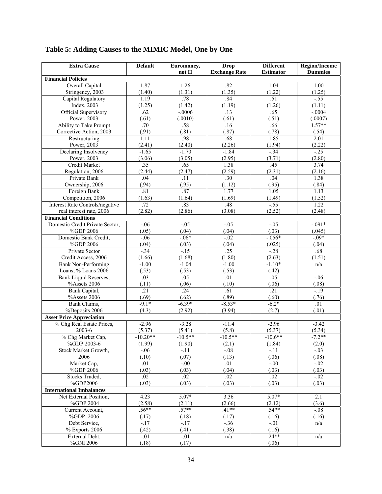| <b>Extra Cause</b>                           | <b>Default</b>            | Euromoney,          | <b>Drop</b>                | <b>Different</b>          | <b>Region/Income</b> |
|----------------------------------------------|---------------------------|---------------------|----------------------------|---------------------------|----------------------|
|                                              |                           | not II              | <b>Exchange Rate</b>       | <b>Estimator</b>          | <b>Dummies</b>       |
| <b>Financial Policies</b>                    |                           |                     |                            |                           |                      |
| <b>Overall Capital</b>                       | 1.87                      | 1.26                | .82                        | 1.04                      | 1.00                 |
| Stringency, 2003                             | (1.40)                    | (1.31)<br>.78       | (1.35)                     | (1.22)<br>.51             | (1.25)               |
| Capital Regulatory<br>Index, 2003            | 1.19<br>(1.25)            |                     | .84                        | (1.26)                    | $-55$<br>(1.11)      |
|                                              | .62                       | (1.42)<br>$-0.0006$ | (1.19)<br>$\overline{.13}$ | .65                       | $-.0004$             |
| <b>Official Supervisory</b><br>Power, 2003   | (.61)                     | (.0010)             | (.61)                      | (.51)                     | (.0007)              |
| Ability to Take Prompt                       | $\overline{.70}$          | .58                 | .16                        | .66                       | $1.57**$             |
| Corrective Action, 2003                      | (.91)                     | (.81)               | (.87)                      | (.78)                     | (.54)                |
| Restructuring                                | 1.11                      | .98                 | .68                        | 1.85                      | $\overline{2.01}$    |
| Power, 2003                                  | (2.41)                    | (2.40)              | (2.26)                     | (1.94)                    | (2.22)               |
| Declaring Insolvency                         | $-1.65$                   | $-1.70$             | $-1.84$                    | $-34$                     | $-25$                |
| Power, 2003                                  | (3.06)                    | (3.05)              | (2.95)                     | (3.71)                    | (2.80)               |
| <b>Credit Market</b>                         | .35                       | .65                 | 1.38                       | .45                       | 3.74                 |
| Regulation, 2006                             | (2.44)                    | (2.47)              | (2.59)                     | (2.31)                    | (2.16)               |
| Private Bank                                 | .04                       | .11                 | $\overline{.30}$           | .04                       | 1.38                 |
| Ownership, 2006                              | (.94)                     | (.95)               | (1.12)                     | (.95)                     | (.84)                |
| Foreign Bank                                 | .81                       | .87                 | 1.77                       | 1.05                      | 1.13                 |
| Competition, 2006                            | (1.63)                    | (1.64)              | (1.69)                     | (1.49)                    | (1.52)               |
| Interest Rate Controls/negative              | .72                       | .83                 | .48                        | $-55$                     | 1.22                 |
| real interest rate, 2006                     | (2.82)                    | (2.86)              | (3.08)                     | (2.52)                    | (2.48)               |
| <b>Financial Conditions</b>                  |                           |                     |                            |                           |                      |
| Domestic Credit Private Sector,              | $-06$                     | $-0.05$             | $-.05$                     | $-0.05$                   | $-0.091*$            |
| %GDP 2006                                    | (.05)                     | (.04)               | (.04)                      | (.03)                     | (.045)               |
| Domestic Bank Credit,                        | $-.06$                    | $-06*$              | $-0.02$                    | $-0.056*$                 | $-0.09*$             |
| %GDP 2006                                    | (.04)                     | (.03)               | (.04)                      | (.025)                    | (.04)                |
| Private Sector                               | $-34$                     | $-15$               | .25                        | $-.28$                    | .68                  |
| Credit Access, 2006                          | (1.66)                    | (1.68)              | (1.80)                     | (2.63)                    | (1.51)               |
| <b>Bank Non-Performing</b>                   | $-1.00$                   | $-1.04$             | $-1.00$                    | $-1.10*$                  | n/a                  |
| Loans, % Loans 2006                          | (.53)                     | (.53)               | (.53)                      | (.42)                     |                      |
| <b>Bank Liquid Reserves,</b><br>%Assets 2006 | .03                       | .05                 | .01                        | .05                       | $-06$                |
| Bank Capital,                                | (.11)<br>$\overline{.21}$ | (.06)<br>.24        | (.10)<br>.61               | (.06)<br>$\overline{.21}$ | (.08)<br>$-19$       |
| %Assets 2006                                 | (.69)                     | (.62)               | (.89)                      | (.60)                     | (.76)                |
| Bank Claims,                                 | $-9.1*$                   | $-6.39*$            | $-8.53*$                   | $-6.2*$                   | .01                  |
| %Deposits 2006                               | (4.3)                     | (2.92)              | (3.94)                     | (2.7)                     | (.01)                |
| <b>Asset Price Appreciation</b>              |                           |                     |                            |                           |                      |
| % Chg Real Estate Prices,                    | $-2.96$                   | $-3.28$             | $-11.4$                    | $-2.96$                   | $-3.42$              |
| 2003-6                                       | (5.37)                    | (5.41)              | (5.8)                      | (5.37)                    | (5.34)               |
| % Chg Market Cap,                            | $-10.20**$                | $-10.5**$           | $-10.5**$                  | $-10.6**$                 | $-7.2**$             |
| %GDP 2003-6                                  | (1.99)                    | (1.90)              | (2.1)                      | (1.84)                    | (2.0)                |
| Stock Market Growth,                         | $-.06$                    | $-11$               | $-0.08$                    | $-.11$                    | $-.03$               |
| 2006                                         | (.10)                     | (.07)               | (.13)                      | (.06)                     | (.08)                |
| Market Cap,                                  | .01                       | $-.00$              | .01                        | $-.00$                    | $-.02$               |
| %GDP 2006                                    | (.03)                     | (.03)               | (.04)                      | (.03)                     | (.03)                |
| Stocks Traded,                               | .02                       | .02                 | .02                        | .02                       | $-0.02$              |
| %GDP2006                                     | (.03)                     | (.03)               | (.03)                      | (.03)                     | (.03)                |
| <b>International Imbalances</b>              |                           |                     |                            |                           |                      |
| Net External Position,                       | 4.23                      | $5.07*$             | 3.36                       | $5.07*$                   | 2.1                  |
| %GDP 2004                                    | (2.58)                    | (2.11)              | (2.66)                     | (2.12)                    | (3.6)                |
| Current Account,                             | $.56***$                  | $.57**$             | $.41**$                    | $.54**$                   | $-0.08$              |
| %GDP 2006                                    | (.17)                     | (.18)               | (.17)                      | (.16)                     | (.16)                |
| Debt Service,                                | $-.17$                    | $-.17$              | $-.36$                     | $-.01$                    | n/a                  |
| $%$ Exports 2006                             | (.42)                     | (.41)               | (.38)                      | (.16)                     |                      |
| External Debt,                               | $-.01$                    | $-.01$              | n/a                        | $.24**$                   | n/a                  |
| %GNI 2006                                    | (.18)                     | (.17)               |                            | (.06)                     |                      |

# **Table 5: Adding Causes to the MIMIC Model, One by One**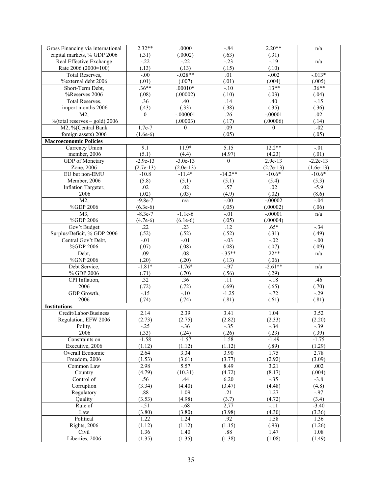| capital markets, % GDP 2006<br>(.31)<br>(.0002)<br>(.63)<br>(.31)<br>$-19$<br>$-22$<br>Real Effective Exchange<br>$-.22$<br>$-.23$<br>n/a<br>Rate 2006 (2000=100)<br>(.13)<br>(.13)<br>(.15)<br>(.10)<br>$-0.028**$<br>$-0.013*$<br>$-.00$<br>$-.002$<br><b>Total Reserves,</b><br>.01<br>(.01)<br>(.007)<br>(.01)<br>(.004)<br>(.005)<br>%external debt 2006<br>$.13**$<br>$.36***$<br>$.36**$<br>$.00010*$<br>Short-Term Debt,<br>$-.10$<br>%Reserves 2006<br>(.08)<br>(.00002)<br>(.10)<br>(.03)<br>(.04)<br>.36<br>.40<br>Total Reserves,<br>.40<br>.14<br>$-15$<br>(.43)<br>(.33)<br>(.38)<br>(.35)<br>(.36)<br>import months 2006<br>$-.000001$<br>.26<br>$-.00001$<br>.02<br>$\theta$<br>M2,<br>$\%$ (total reserves – gold) 2006<br>(.00003)<br>(.00006)<br>(.17)<br>(.14)<br>M2, %(Central Bank<br>$1.7e-7$<br>.09<br>$-02$<br>$\theta$<br>$\theta$<br>foreign assets) 2006<br>(.05)<br>(.05)<br>$(1.6e-6)$<br><b>Macroeconomic Policies</b><br>$11.9*$<br>$12.2**$<br>Currency Union<br>9.1<br>5.15<br>$-.01$<br>member, 2006<br>(5.1)<br>(4.97)<br>(4.23)<br>(.01)<br>(4.4)<br>$-2.9e-13$<br>$-3.0e-13$<br>$2.9e-13$<br>$-2.2e-13$<br><b>GDP</b> of Monetary<br>$\mathbf{0}$<br>$(2.7e-13)$<br>Zone, 2006<br>$(2.7e-13)$<br>$(2.0e-13)$<br>$(1.6e-13)$<br>$-14.2**$<br>$-10.6*$<br>$-10.6*$<br>EU but non-EMU<br>$-10.8$<br>$-11.4*$<br>(5.8)<br>Member, 2006<br>(5.1)<br>(5.4)<br>(5.3)<br>(5.1)<br>.02<br>Inflation Targeter,<br>.02<br>.02<br>.57<br>$-5.9$<br>(.02)<br>(.02)<br>(.03)<br>(4.9)<br>(8.6)<br>2006<br>M2,<br>$-0.00$<br>$-9.8e-7$<br>n/a<br>$-.00002$<br>$-.04$<br>%GDP 2006<br>(.00002)<br>$(6.3e-6)$<br>(.05)<br>(.06)<br>M3,<br>$-8.3e-7$<br>$-1.1e-6$<br>$-.00001$<br>$-.01$<br>n/a<br>%GDP 2006<br>$(4.7e-6)$<br>(.00004)<br>$(6.1e-6)$<br>(.05)<br>$\overline{22}$<br>Gov't Budget<br>$\overline{.23}$<br>$\overline{.12}$<br>$.65*$<br>$-34$<br>Surplus/Deficit, % GDP 2006<br>(.52)<br>(.52)<br>(.52)<br>(.31)<br>(.49)<br>$-.01$<br>$-.01$<br>$-.03$<br>$-.02$<br>Central Gov't Debt,<br>$-0.00$<br>%GDP 2006<br>(.07)<br>(.08)<br>(.08)<br>(.07)<br>(.09)<br>$.22**$<br>$-35**$<br>.09<br>.08<br>Debt,<br>n/a<br>%GNP 2006<br>(.20)<br>(.20)<br>(.06)<br>(.13)<br>$-2.61**$<br>$-1.81*$<br>$-1.76*$<br>$-.97$<br>Debt Service,<br>n/a<br>(.56)<br>% GDP 2006<br>(.71)<br>(.70)<br>(.29)<br>.32<br>.36<br>CPI Inflation,<br>$\overline{.11}$<br>$-18$<br>.46<br>(.72)<br>(.72)<br>(.69)<br>(.65)<br>2006<br>(.70)<br>GDP Growth,<br>$-15$<br>$-10$<br>$-0.72$<br>$-29$<br>$-1.25$<br>2006<br>(.74)<br>(.74)<br>(.81)<br>(.61)<br>(.81)<br><b>Institutions</b><br>Credit/Labor/Business<br>2.14<br>2.39<br>3.41<br>1.04<br>3.52<br>(2.82)<br>(2.33)<br>Regulation, EFW 2006<br>(2.73)<br>(2.75)<br>(2.20)<br>Polity,<br>$-.25$<br>$-.36$<br>$-.35$<br>$-.34$<br>$-.39$<br>2006<br>(.33)<br>(.24)<br>(.23)<br>(.39)<br>(.26)<br>$-1.58$<br>$-1.57$<br>1.58<br>$-1.49$<br>$-1.75$<br>Constraints on<br>Executive, 2006<br>(1.12)<br>(.89)<br>(1.29)<br>(1.12)<br>(1.12)<br>2.64<br>3.34<br>3.90<br>1.75<br>2.78<br>Overall Economic<br>(3.09)<br>Freedom, 2006<br>(1.53)<br>(3.61)<br>(3.77)<br>(2.92)<br>2.98<br>5.57<br>8.49<br>.002<br>Common Law<br>3.21<br>(4.79)<br>(8.17)<br>(.004)<br>Country<br>(10.31)<br>(4.72)<br>$-35$<br>Control of<br>.56<br>.44<br>6.20<br>$-3.8$<br>Corruption<br>(3.34)<br>(4.40)<br>(3.47)<br>(4.48)<br>(4.8)<br>.88<br>1.09<br>1.27<br>$-97$<br>Regulatory<br>.21<br>(3.53)<br>(3.7)<br>(3.4)<br>Quality<br>(4.98)<br>(4.72)<br>$-.51$<br>$-.68$<br>2,77<br>$-.11$<br>$-3.40$<br>Rule of<br>(3.80)<br>(3.80)<br>(3.98)<br>(4.30)<br>(3.36)<br>Law<br>1.22<br>.92<br>1.36<br>Political<br>1.24<br>1.58<br><b>Rights</b> , 2006<br>(1.12)<br>(1.12)<br>(1.15)<br>(.93)<br>(1.26)<br>.88<br>Civil<br>1.36<br>1.40<br>1.47<br>1.08 | Gross Financing via international | $2.32**$ | .0000  | $-.84$ | $2.20**$ | n/a    |
|------------------------------------------------------------------------------------------------------------------------------------------------------------------------------------------------------------------------------------------------------------------------------------------------------------------------------------------------------------------------------------------------------------------------------------------------------------------------------------------------------------------------------------------------------------------------------------------------------------------------------------------------------------------------------------------------------------------------------------------------------------------------------------------------------------------------------------------------------------------------------------------------------------------------------------------------------------------------------------------------------------------------------------------------------------------------------------------------------------------------------------------------------------------------------------------------------------------------------------------------------------------------------------------------------------------------------------------------------------------------------------------------------------------------------------------------------------------------------------------------------------------------------------------------------------------------------------------------------------------------------------------------------------------------------------------------------------------------------------------------------------------------------------------------------------------------------------------------------------------------------------------------------------------------------------------------------------------------------------------------------------------------------------------------------------------------------------------------------------------------------------------------------------------------------------------------------------------------------------------------------------------------------------------------------------------------------------------------------------------------------------------------------------------------------------------------------------------------------------------------------------------------------------------------------------------------------------------------------------------------------------------------------------------------------------------------------------------------------------------------------------------------------------------------------------------------------------------------------------------------------------------------------------------------------------------------------------------------------------------------------------------------------------------------------------------------------------------------------------------------------------------------------------------------------------------------------------------------------------------------------------------------------------------------------------------------------------------------------------------------------------------------------------------------------------------------------------------------------------------------------------------------------------------------------------------------------------------------------------------------------------------------------------------------------------------------------------------------------------------------------------------------------------------------------|-----------------------------------|----------|--------|--------|----------|--------|
|                                                                                                                                                                                                                                                                                                                                                                                                                                                                                                                                                                                                                                                                                                                                                                                                                                                                                                                                                                                                                                                                                                                                                                                                                                                                                                                                                                                                                                                                                                                                                                                                                                                                                                                                                                                                                                                                                                                                                                                                                                                                                                                                                                                                                                                                                                                                                                                                                                                                                                                                                                                                                                                                                                                                                                                                                                                                                                                                                                                                                                                                                                                                                                                                                                                                                                                                                                                                                                                                                                                                                                                                                                                                                                                                                                                                      |                                   |          |        |        |          |        |
|                                                                                                                                                                                                                                                                                                                                                                                                                                                                                                                                                                                                                                                                                                                                                                                                                                                                                                                                                                                                                                                                                                                                                                                                                                                                                                                                                                                                                                                                                                                                                                                                                                                                                                                                                                                                                                                                                                                                                                                                                                                                                                                                                                                                                                                                                                                                                                                                                                                                                                                                                                                                                                                                                                                                                                                                                                                                                                                                                                                                                                                                                                                                                                                                                                                                                                                                                                                                                                                                                                                                                                                                                                                                                                                                                                                                      |                                   |          |        |        |          |        |
|                                                                                                                                                                                                                                                                                                                                                                                                                                                                                                                                                                                                                                                                                                                                                                                                                                                                                                                                                                                                                                                                                                                                                                                                                                                                                                                                                                                                                                                                                                                                                                                                                                                                                                                                                                                                                                                                                                                                                                                                                                                                                                                                                                                                                                                                                                                                                                                                                                                                                                                                                                                                                                                                                                                                                                                                                                                                                                                                                                                                                                                                                                                                                                                                                                                                                                                                                                                                                                                                                                                                                                                                                                                                                                                                                                                                      |                                   |          |        |        |          |        |
|                                                                                                                                                                                                                                                                                                                                                                                                                                                                                                                                                                                                                                                                                                                                                                                                                                                                                                                                                                                                                                                                                                                                                                                                                                                                                                                                                                                                                                                                                                                                                                                                                                                                                                                                                                                                                                                                                                                                                                                                                                                                                                                                                                                                                                                                                                                                                                                                                                                                                                                                                                                                                                                                                                                                                                                                                                                                                                                                                                                                                                                                                                                                                                                                                                                                                                                                                                                                                                                                                                                                                                                                                                                                                                                                                                                                      |                                   |          |        |        |          |        |
|                                                                                                                                                                                                                                                                                                                                                                                                                                                                                                                                                                                                                                                                                                                                                                                                                                                                                                                                                                                                                                                                                                                                                                                                                                                                                                                                                                                                                                                                                                                                                                                                                                                                                                                                                                                                                                                                                                                                                                                                                                                                                                                                                                                                                                                                                                                                                                                                                                                                                                                                                                                                                                                                                                                                                                                                                                                                                                                                                                                                                                                                                                                                                                                                                                                                                                                                                                                                                                                                                                                                                                                                                                                                                                                                                                                                      |                                   |          |        |        |          |        |
|                                                                                                                                                                                                                                                                                                                                                                                                                                                                                                                                                                                                                                                                                                                                                                                                                                                                                                                                                                                                                                                                                                                                                                                                                                                                                                                                                                                                                                                                                                                                                                                                                                                                                                                                                                                                                                                                                                                                                                                                                                                                                                                                                                                                                                                                                                                                                                                                                                                                                                                                                                                                                                                                                                                                                                                                                                                                                                                                                                                                                                                                                                                                                                                                                                                                                                                                                                                                                                                                                                                                                                                                                                                                                                                                                                                                      |                                   |          |        |        |          |        |
|                                                                                                                                                                                                                                                                                                                                                                                                                                                                                                                                                                                                                                                                                                                                                                                                                                                                                                                                                                                                                                                                                                                                                                                                                                                                                                                                                                                                                                                                                                                                                                                                                                                                                                                                                                                                                                                                                                                                                                                                                                                                                                                                                                                                                                                                                                                                                                                                                                                                                                                                                                                                                                                                                                                                                                                                                                                                                                                                                                                                                                                                                                                                                                                                                                                                                                                                                                                                                                                                                                                                                                                                                                                                                                                                                                                                      |                                   |          |        |        |          |        |
|                                                                                                                                                                                                                                                                                                                                                                                                                                                                                                                                                                                                                                                                                                                                                                                                                                                                                                                                                                                                                                                                                                                                                                                                                                                                                                                                                                                                                                                                                                                                                                                                                                                                                                                                                                                                                                                                                                                                                                                                                                                                                                                                                                                                                                                                                                                                                                                                                                                                                                                                                                                                                                                                                                                                                                                                                                                                                                                                                                                                                                                                                                                                                                                                                                                                                                                                                                                                                                                                                                                                                                                                                                                                                                                                                                                                      |                                   |          |        |        |          |        |
|                                                                                                                                                                                                                                                                                                                                                                                                                                                                                                                                                                                                                                                                                                                                                                                                                                                                                                                                                                                                                                                                                                                                                                                                                                                                                                                                                                                                                                                                                                                                                                                                                                                                                                                                                                                                                                                                                                                                                                                                                                                                                                                                                                                                                                                                                                                                                                                                                                                                                                                                                                                                                                                                                                                                                                                                                                                                                                                                                                                                                                                                                                                                                                                                                                                                                                                                                                                                                                                                                                                                                                                                                                                                                                                                                                                                      |                                   |          |        |        |          |        |
|                                                                                                                                                                                                                                                                                                                                                                                                                                                                                                                                                                                                                                                                                                                                                                                                                                                                                                                                                                                                                                                                                                                                                                                                                                                                                                                                                                                                                                                                                                                                                                                                                                                                                                                                                                                                                                                                                                                                                                                                                                                                                                                                                                                                                                                                                                                                                                                                                                                                                                                                                                                                                                                                                                                                                                                                                                                                                                                                                                                                                                                                                                                                                                                                                                                                                                                                                                                                                                                                                                                                                                                                                                                                                                                                                                                                      |                                   |          |        |        |          |        |
|                                                                                                                                                                                                                                                                                                                                                                                                                                                                                                                                                                                                                                                                                                                                                                                                                                                                                                                                                                                                                                                                                                                                                                                                                                                                                                                                                                                                                                                                                                                                                                                                                                                                                                                                                                                                                                                                                                                                                                                                                                                                                                                                                                                                                                                                                                                                                                                                                                                                                                                                                                                                                                                                                                                                                                                                                                                                                                                                                                                                                                                                                                                                                                                                                                                                                                                                                                                                                                                                                                                                                                                                                                                                                                                                                                                                      |                                   |          |        |        |          |        |
|                                                                                                                                                                                                                                                                                                                                                                                                                                                                                                                                                                                                                                                                                                                                                                                                                                                                                                                                                                                                                                                                                                                                                                                                                                                                                                                                                                                                                                                                                                                                                                                                                                                                                                                                                                                                                                                                                                                                                                                                                                                                                                                                                                                                                                                                                                                                                                                                                                                                                                                                                                                                                                                                                                                                                                                                                                                                                                                                                                                                                                                                                                                                                                                                                                                                                                                                                                                                                                                                                                                                                                                                                                                                                                                                                                                                      |                                   |          |        |        |          |        |
|                                                                                                                                                                                                                                                                                                                                                                                                                                                                                                                                                                                                                                                                                                                                                                                                                                                                                                                                                                                                                                                                                                                                                                                                                                                                                                                                                                                                                                                                                                                                                                                                                                                                                                                                                                                                                                                                                                                                                                                                                                                                                                                                                                                                                                                                                                                                                                                                                                                                                                                                                                                                                                                                                                                                                                                                                                                                                                                                                                                                                                                                                                                                                                                                                                                                                                                                                                                                                                                                                                                                                                                                                                                                                                                                                                                                      |                                   |          |        |        |          |        |
|                                                                                                                                                                                                                                                                                                                                                                                                                                                                                                                                                                                                                                                                                                                                                                                                                                                                                                                                                                                                                                                                                                                                                                                                                                                                                                                                                                                                                                                                                                                                                                                                                                                                                                                                                                                                                                                                                                                                                                                                                                                                                                                                                                                                                                                                                                                                                                                                                                                                                                                                                                                                                                                                                                                                                                                                                                                                                                                                                                                                                                                                                                                                                                                                                                                                                                                                                                                                                                                                                                                                                                                                                                                                                                                                                                                                      |                                   |          |        |        |          |        |
|                                                                                                                                                                                                                                                                                                                                                                                                                                                                                                                                                                                                                                                                                                                                                                                                                                                                                                                                                                                                                                                                                                                                                                                                                                                                                                                                                                                                                                                                                                                                                                                                                                                                                                                                                                                                                                                                                                                                                                                                                                                                                                                                                                                                                                                                                                                                                                                                                                                                                                                                                                                                                                                                                                                                                                                                                                                                                                                                                                                                                                                                                                                                                                                                                                                                                                                                                                                                                                                                                                                                                                                                                                                                                                                                                                                                      |                                   |          |        |        |          |        |
|                                                                                                                                                                                                                                                                                                                                                                                                                                                                                                                                                                                                                                                                                                                                                                                                                                                                                                                                                                                                                                                                                                                                                                                                                                                                                                                                                                                                                                                                                                                                                                                                                                                                                                                                                                                                                                                                                                                                                                                                                                                                                                                                                                                                                                                                                                                                                                                                                                                                                                                                                                                                                                                                                                                                                                                                                                                                                                                                                                                                                                                                                                                                                                                                                                                                                                                                                                                                                                                                                                                                                                                                                                                                                                                                                                                                      |                                   |          |        |        |          |        |
|                                                                                                                                                                                                                                                                                                                                                                                                                                                                                                                                                                                                                                                                                                                                                                                                                                                                                                                                                                                                                                                                                                                                                                                                                                                                                                                                                                                                                                                                                                                                                                                                                                                                                                                                                                                                                                                                                                                                                                                                                                                                                                                                                                                                                                                                                                                                                                                                                                                                                                                                                                                                                                                                                                                                                                                                                                                                                                                                                                                                                                                                                                                                                                                                                                                                                                                                                                                                                                                                                                                                                                                                                                                                                                                                                                                                      |                                   |          |        |        |          |        |
|                                                                                                                                                                                                                                                                                                                                                                                                                                                                                                                                                                                                                                                                                                                                                                                                                                                                                                                                                                                                                                                                                                                                                                                                                                                                                                                                                                                                                                                                                                                                                                                                                                                                                                                                                                                                                                                                                                                                                                                                                                                                                                                                                                                                                                                                                                                                                                                                                                                                                                                                                                                                                                                                                                                                                                                                                                                                                                                                                                                                                                                                                                                                                                                                                                                                                                                                                                                                                                                                                                                                                                                                                                                                                                                                                                                                      |                                   |          |        |        |          |        |
|                                                                                                                                                                                                                                                                                                                                                                                                                                                                                                                                                                                                                                                                                                                                                                                                                                                                                                                                                                                                                                                                                                                                                                                                                                                                                                                                                                                                                                                                                                                                                                                                                                                                                                                                                                                                                                                                                                                                                                                                                                                                                                                                                                                                                                                                                                                                                                                                                                                                                                                                                                                                                                                                                                                                                                                                                                                                                                                                                                                                                                                                                                                                                                                                                                                                                                                                                                                                                                                                                                                                                                                                                                                                                                                                                                                                      |                                   |          |        |        |          |        |
|                                                                                                                                                                                                                                                                                                                                                                                                                                                                                                                                                                                                                                                                                                                                                                                                                                                                                                                                                                                                                                                                                                                                                                                                                                                                                                                                                                                                                                                                                                                                                                                                                                                                                                                                                                                                                                                                                                                                                                                                                                                                                                                                                                                                                                                                                                                                                                                                                                                                                                                                                                                                                                                                                                                                                                                                                                                                                                                                                                                                                                                                                                                                                                                                                                                                                                                                                                                                                                                                                                                                                                                                                                                                                                                                                                                                      |                                   |          |        |        |          |        |
|                                                                                                                                                                                                                                                                                                                                                                                                                                                                                                                                                                                                                                                                                                                                                                                                                                                                                                                                                                                                                                                                                                                                                                                                                                                                                                                                                                                                                                                                                                                                                                                                                                                                                                                                                                                                                                                                                                                                                                                                                                                                                                                                                                                                                                                                                                                                                                                                                                                                                                                                                                                                                                                                                                                                                                                                                                                                                                                                                                                                                                                                                                                                                                                                                                                                                                                                                                                                                                                                                                                                                                                                                                                                                                                                                                                                      |                                   |          |        |        |          |        |
|                                                                                                                                                                                                                                                                                                                                                                                                                                                                                                                                                                                                                                                                                                                                                                                                                                                                                                                                                                                                                                                                                                                                                                                                                                                                                                                                                                                                                                                                                                                                                                                                                                                                                                                                                                                                                                                                                                                                                                                                                                                                                                                                                                                                                                                                                                                                                                                                                                                                                                                                                                                                                                                                                                                                                                                                                                                                                                                                                                                                                                                                                                                                                                                                                                                                                                                                                                                                                                                                                                                                                                                                                                                                                                                                                                                                      |                                   |          |        |        |          |        |
|                                                                                                                                                                                                                                                                                                                                                                                                                                                                                                                                                                                                                                                                                                                                                                                                                                                                                                                                                                                                                                                                                                                                                                                                                                                                                                                                                                                                                                                                                                                                                                                                                                                                                                                                                                                                                                                                                                                                                                                                                                                                                                                                                                                                                                                                                                                                                                                                                                                                                                                                                                                                                                                                                                                                                                                                                                                                                                                                                                                                                                                                                                                                                                                                                                                                                                                                                                                                                                                                                                                                                                                                                                                                                                                                                                                                      |                                   |          |        |        |          |        |
|                                                                                                                                                                                                                                                                                                                                                                                                                                                                                                                                                                                                                                                                                                                                                                                                                                                                                                                                                                                                                                                                                                                                                                                                                                                                                                                                                                                                                                                                                                                                                                                                                                                                                                                                                                                                                                                                                                                                                                                                                                                                                                                                                                                                                                                                                                                                                                                                                                                                                                                                                                                                                                                                                                                                                                                                                                                                                                                                                                                                                                                                                                                                                                                                                                                                                                                                                                                                                                                                                                                                                                                                                                                                                                                                                                                                      |                                   |          |        |        |          |        |
|                                                                                                                                                                                                                                                                                                                                                                                                                                                                                                                                                                                                                                                                                                                                                                                                                                                                                                                                                                                                                                                                                                                                                                                                                                                                                                                                                                                                                                                                                                                                                                                                                                                                                                                                                                                                                                                                                                                                                                                                                                                                                                                                                                                                                                                                                                                                                                                                                                                                                                                                                                                                                                                                                                                                                                                                                                                                                                                                                                                                                                                                                                                                                                                                                                                                                                                                                                                                                                                                                                                                                                                                                                                                                                                                                                                                      |                                   |          |        |        |          |        |
|                                                                                                                                                                                                                                                                                                                                                                                                                                                                                                                                                                                                                                                                                                                                                                                                                                                                                                                                                                                                                                                                                                                                                                                                                                                                                                                                                                                                                                                                                                                                                                                                                                                                                                                                                                                                                                                                                                                                                                                                                                                                                                                                                                                                                                                                                                                                                                                                                                                                                                                                                                                                                                                                                                                                                                                                                                                                                                                                                                                                                                                                                                                                                                                                                                                                                                                                                                                                                                                                                                                                                                                                                                                                                                                                                                                                      |                                   |          |        |        |          |        |
|                                                                                                                                                                                                                                                                                                                                                                                                                                                                                                                                                                                                                                                                                                                                                                                                                                                                                                                                                                                                                                                                                                                                                                                                                                                                                                                                                                                                                                                                                                                                                                                                                                                                                                                                                                                                                                                                                                                                                                                                                                                                                                                                                                                                                                                                                                                                                                                                                                                                                                                                                                                                                                                                                                                                                                                                                                                                                                                                                                                                                                                                                                                                                                                                                                                                                                                                                                                                                                                                                                                                                                                                                                                                                                                                                                                                      |                                   |          |        |        |          |        |
|                                                                                                                                                                                                                                                                                                                                                                                                                                                                                                                                                                                                                                                                                                                                                                                                                                                                                                                                                                                                                                                                                                                                                                                                                                                                                                                                                                                                                                                                                                                                                                                                                                                                                                                                                                                                                                                                                                                                                                                                                                                                                                                                                                                                                                                                                                                                                                                                                                                                                                                                                                                                                                                                                                                                                                                                                                                                                                                                                                                                                                                                                                                                                                                                                                                                                                                                                                                                                                                                                                                                                                                                                                                                                                                                                                                                      |                                   |          |        |        |          |        |
|                                                                                                                                                                                                                                                                                                                                                                                                                                                                                                                                                                                                                                                                                                                                                                                                                                                                                                                                                                                                                                                                                                                                                                                                                                                                                                                                                                                                                                                                                                                                                                                                                                                                                                                                                                                                                                                                                                                                                                                                                                                                                                                                                                                                                                                                                                                                                                                                                                                                                                                                                                                                                                                                                                                                                                                                                                                                                                                                                                                                                                                                                                                                                                                                                                                                                                                                                                                                                                                                                                                                                                                                                                                                                                                                                                                                      |                                   |          |        |        |          |        |
|                                                                                                                                                                                                                                                                                                                                                                                                                                                                                                                                                                                                                                                                                                                                                                                                                                                                                                                                                                                                                                                                                                                                                                                                                                                                                                                                                                                                                                                                                                                                                                                                                                                                                                                                                                                                                                                                                                                                                                                                                                                                                                                                                                                                                                                                                                                                                                                                                                                                                                                                                                                                                                                                                                                                                                                                                                                                                                                                                                                                                                                                                                                                                                                                                                                                                                                                                                                                                                                                                                                                                                                                                                                                                                                                                                                                      |                                   |          |        |        |          |        |
|                                                                                                                                                                                                                                                                                                                                                                                                                                                                                                                                                                                                                                                                                                                                                                                                                                                                                                                                                                                                                                                                                                                                                                                                                                                                                                                                                                                                                                                                                                                                                                                                                                                                                                                                                                                                                                                                                                                                                                                                                                                                                                                                                                                                                                                                                                                                                                                                                                                                                                                                                                                                                                                                                                                                                                                                                                                                                                                                                                                                                                                                                                                                                                                                                                                                                                                                                                                                                                                                                                                                                                                                                                                                                                                                                                                                      |                                   |          |        |        |          |        |
|                                                                                                                                                                                                                                                                                                                                                                                                                                                                                                                                                                                                                                                                                                                                                                                                                                                                                                                                                                                                                                                                                                                                                                                                                                                                                                                                                                                                                                                                                                                                                                                                                                                                                                                                                                                                                                                                                                                                                                                                                                                                                                                                                                                                                                                                                                                                                                                                                                                                                                                                                                                                                                                                                                                                                                                                                                                                                                                                                                                                                                                                                                                                                                                                                                                                                                                                                                                                                                                                                                                                                                                                                                                                                                                                                                                                      |                                   |          |        |        |          |        |
|                                                                                                                                                                                                                                                                                                                                                                                                                                                                                                                                                                                                                                                                                                                                                                                                                                                                                                                                                                                                                                                                                                                                                                                                                                                                                                                                                                                                                                                                                                                                                                                                                                                                                                                                                                                                                                                                                                                                                                                                                                                                                                                                                                                                                                                                                                                                                                                                                                                                                                                                                                                                                                                                                                                                                                                                                                                                                                                                                                                                                                                                                                                                                                                                                                                                                                                                                                                                                                                                                                                                                                                                                                                                                                                                                                                                      |                                   |          |        |        |          |        |
|                                                                                                                                                                                                                                                                                                                                                                                                                                                                                                                                                                                                                                                                                                                                                                                                                                                                                                                                                                                                                                                                                                                                                                                                                                                                                                                                                                                                                                                                                                                                                                                                                                                                                                                                                                                                                                                                                                                                                                                                                                                                                                                                                                                                                                                                                                                                                                                                                                                                                                                                                                                                                                                                                                                                                                                                                                                                                                                                                                                                                                                                                                                                                                                                                                                                                                                                                                                                                                                                                                                                                                                                                                                                                                                                                                                                      |                                   |          |        |        |          |        |
|                                                                                                                                                                                                                                                                                                                                                                                                                                                                                                                                                                                                                                                                                                                                                                                                                                                                                                                                                                                                                                                                                                                                                                                                                                                                                                                                                                                                                                                                                                                                                                                                                                                                                                                                                                                                                                                                                                                                                                                                                                                                                                                                                                                                                                                                                                                                                                                                                                                                                                                                                                                                                                                                                                                                                                                                                                                                                                                                                                                                                                                                                                                                                                                                                                                                                                                                                                                                                                                                                                                                                                                                                                                                                                                                                                                                      |                                   |          |        |        |          |        |
|                                                                                                                                                                                                                                                                                                                                                                                                                                                                                                                                                                                                                                                                                                                                                                                                                                                                                                                                                                                                                                                                                                                                                                                                                                                                                                                                                                                                                                                                                                                                                                                                                                                                                                                                                                                                                                                                                                                                                                                                                                                                                                                                                                                                                                                                                                                                                                                                                                                                                                                                                                                                                                                                                                                                                                                                                                                                                                                                                                                                                                                                                                                                                                                                                                                                                                                                                                                                                                                                                                                                                                                                                                                                                                                                                                                                      |                                   |          |        |        |          |        |
|                                                                                                                                                                                                                                                                                                                                                                                                                                                                                                                                                                                                                                                                                                                                                                                                                                                                                                                                                                                                                                                                                                                                                                                                                                                                                                                                                                                                                                                                                                                                                                                                                                                                                                                                                                                                                                                                                                                                                                                                                                                                                                                                                                                                                                                                                                                                                                                                                                                                                                                                                                                                                                                                                                                                                                                                                                                                                                                                                                                                                                                                                                                                                                                                                                                                                                                                                                                                                                                                                                                                                                                                                                                                                                                                                                                                      |                                   |          |        |        |          |        |
|                                                                                                                                                                                                                                                                                                                                                                                                                                                                                                                                                                                                                                                                                                                                                                                                                                                                                                                                                                                                                                                                                                                                                                                                                                                                                                                                                                                                                                                                                                                                                                                                                                                                                                                                                                                                                                                                                                                                                                                                                                                                                                                                                                                                                                                                                                                                                                                                                                                                                                                                                                                                                                                                                                                                                                                                                                                                                                                                                                                                                                                                                                                                                                                                                                                                                                                                                                                                                                                                                                                                                                                                                                                                                                                                                                                                      |                                   |          |        |        |          |        |
|                                                                                                                                                                                                                                                                                                                                                                                                                                                                                                                                                                                                                                                                                                                                                                                                                                                                                                                                                                                                                                                                                                                                                                                                                                                                                                                                                                                                                                                                                                                                                                                                                                                                                                                                                                                                                                                                                                                                                                                                                                                                                                                                                                                                                                                                                                                                                                                                                                                                                                                                                                                                                                                                                                                                                                                                                                                                                                                                                                                                                                                                                                                                                                                                                                                                                                                                                                                                                                                                                                                                                                                                                                                                                                                                                                                                      |                                   |          |        |        |          |        |
|                                                                                                                                                                                                                                                                                                                                                                                                                                                                                                                                                                                                                                                                                                                                                                                                                                                                                                                                                                                                                                                                                                                                                                                                                                                                                                                                                                                                                                                                                                                                                                                                                                                                                                                                                                                                                                                                                                                                                                                                                                                                                                                                                                                                                                                                                                                                                                                                                                                                                                                                                                                                                                                                                                                                                                                                                                                                                                                                                                                                                                                                                                                                                                                                                                                                                                                                                                                                                                                                                                                                                                                                                                                                                                                                                                                                      |                                   |          |        |        |          |        |
|                                                                                                                                                                                                                                                                                                                                                                                                                                                                                                                                                                                                                                                                                                                                                                                                                                                                                                                                                                                                                                                                                                                                                                                                                                                                                                                                                                                                                                                                                                                                                                                                                                                                                                                                                                                                                                                                                                                                                                                                                                                                                                                                                                                                                                                                                                                                                                                                                                                                                                                                                                                                                                                                                                                                                                                                                                                                                                                                                                                                                                                                                                                                                                                                                                                                                                                                                                                                                                                                                                                                                                                                                                                                                                                                                                                                      |                                   |          |        |        |          |        |
|                                                                                                                                                                                                                                                                                                                                                                                                                                                                                                                                                                                                                                                                                                                                                                                                                                                                                                                                                                                                                                                                                                                                                                                                                                                                                                                                                                                                                                                                                                                                                                                                                                                                                                                                                                                                                                                                                                                                                                                                                                                                                                                                                                                                                                                                                                                                                                                                                                                                                                                                                                                                                                                                                                                                                                                                                                                                                                                                                                                                                                                                                                                                                                                                                                                                                                                                                                                                                                                                                                                                                                                                                                                                                                                                                                                                      |                                   |          |        |        |          |        |
|                                                                                                                                                                                                                                                                                                                                                                                                                                                                                                                                                                                                                                                                                                                                                                                                                                                                                                                                                                                                                                                                                                                                                                                                                                                                                                                                                                                                                                                                                                                                                                                                                                                                                                                                                                                                                                                                                                                                                                                                                                                                                                                                                                                                                                                                                                                                                                                                                                                                                                                                                                                                                                                                                                                                                                                                                                                                                                                                                                                                                                                                                                                                                                                                                                                                                                                                                                                                                                                                                                                                                                                                                                                                                                                                                                                                      |                                   |          |        |        |          |        |
|                                                                                                                                                                                                                                                                                                                                                                                                                                                                                                                                                                                                                                                                                                                                                                                                                                                                                                                                                                                                                                                                                                                                                                                                                                                                                                                                                                                                                                                                                                                                                                                                                                                                                                                                                                                                                                                                                                                                                                                                                                                                                                                                                                                                                                                                                                                                                                                                                                                                                                                                                                                                                                                                                                                                                                                                                                                                                                                                                                                                                                                                                                                                                                                                                                                                                                                                                                                                                                                                                                                                                                                                                                                                                                                                                                                                      |                                   |          |        |        |          |        |
|                                                                                                                                                                                                                                                                                                                                                                                                                                                                                                                                                                                                                                                                                                                                                                                                                                                                                                                                                                                                                                                                                                                                                                                                                                                                                                                                                                                                                                                                                                                                                                                                                                                                                                                                                                                                                                                                                                                                                                                                                                                                                                                                                                                                                                                                                                                                                                                                                                                                                                                                                                                                                                                                                                                                                                                                                                                                                                                                                                                                                                                                                                                                                                                                                                                                                                                                                                                                                                                                                                                                                                                                                                                                                                                                                                                                      |                                   |          |        |        |          |        |
|                                                                                                                                                                                                                                                                                                                                                                                                                                                                                                                                                                                                                                                                                                                                                                                                                                                                                                                                                                                                                                                                                                                                                                                                                                                                                                                                                                                                                                                                                                                                                                                                                                                                                                                                                                                                                                                                                                                                                                                                                                                                                                                                                                                                                                                                                                                                                                                                                                                                                                                                                                                                                                                                                                                                                                                                                                                                                                                                                                                                                                                                                                                                                                                                                                                                                                                                                                                                                                                                                                                                                                                                                                                                                                                                                                                                      |                                   |          |        |        |          |        |
|                                                                                                                                                                                                                                                                                                                                                                                                                                                                                                                                                                                                                                                                                                                                                                                                                                                                                                                                                                                                                                                                                                                                                                                                                                                                                                                                                                                                                                                                                                                                                                                                                                                                                                                                                                                                                                                                                                                                                                                                                                                                                                                                                                                                                                                                                                                                                                                                                                                                                                                                                                                                                                                                                                                                                                                                                                                                                                                                                                                                                                                                                                                                                                                                                                                                                                                                                                                                                                                                                                                                                                                                                                                                                                                                                                                                      |                                   |          |        |        |          |        |
|                                                                                                                                                                                                                                                                                                                                                                                                                                                                                                                                                                                                                                                                                                                                                                                                                                                                                                                                                                                                                                                                                                                                                                                                                                                                                                                                                                                                                                                                                                                                                                                                                                                                                                                                                                                                                                                                                                                                                                                                                                                                                                                                                                                                                                                                                                                                                                                                                                                                                                                                                                                                                                                                                                                                                                                                                                                                                                                                                                                                                                                                                                                                                                                                                                                                                                                                                                                                                                                                                                                                                                                                                                                                                                                                                                                                      |                                   |          |        |        |          |        |
|                                                                                                                                                                                                                                                                                                                                                                                                                                                                                                                                                                                                                                                                                                                                                                                                                                                                                                                                                                                                                                                                                                                                                                                                                                                                                                                                                                                                                                                                                                                                                                                                                                                                                                                                                                                                                                                                                                                                                                                                                                                                                                                                                                                                                                                                                                                                                                                                                                                                                                                                                                                                                                                                                                                                                                                                                                                                                                                                                                                                                                                                                                                                                                                                                                                                                                                                                                                                                                                                                                                                                                                                                                                                                                                                                                                                      |                                   |          |        |        |          |        |
|                                                                                                                                                                                                                                                                                                                                                                                                                                                                                                                                                                                                                                                                                                                                                                                                                                                                                                                                                                                                                                                                                                                                                                                                                                                                                                                                                                                                                                                                                                                                                                                                                                                                                                                                                                                                                                                                                                                                                                                                                                                                                                                                                                                                                                                                                                                                                                                                                                                                                                                                                                                                                                                                                                                                                                                                                                                                                                                                                                                                                                                                                                                                                                                                                                                                                                                                                                                                                                                                                                                                                                                                                                                                                                                                                                                                      |                                   |          |        |        |          |        |
|                                                                                                                                                                                                                                                                                                                                                                                                                                                                                                                                                                                                                                                                                                                                                                                                                                                                                                                                                                                                                                                                                                                                                                                                                                                                                                                                                                                                                                                                                                                                                                                                                                                                                                                                                                                                                                                                                                                                                                                                                                                                                                                                                                                                                                                                                                                                                                                                                                                                                                                                                                                                                                                                                                                                                                                                                                                                                                                                                                                                                                                                                                                                                                                                                                                                                                                                                                                                                                                                                                                                                                                                                                                                                                                                                                                                      |                                   |          |        |        |          |        |
|                                                                                                                                                                                                                                                                                                                                                                                                                                                                                                                                                                                                                                                                                                                                                                                                                                                                                                                                                                                                                                                                                                                                                                                                                                                                                                                                                                                                                                                                                                                                                                                                                                                                                                                                                                                                                                                                                                                                                                                                                                                                                                                                                                                                                                                                                                                                                                                                                                                                                                                                                                                                                                                                                                                                                                                                                                                                                                                                                                                                                                                                                                                                                                                                                                                                                                                                                                                                                                                                                                                                                                                                                                                                                                                                                                                                      |                                   |          |        |        |          |        |
|                                                                                                                                                                                                                                                                                                                                                                                                                                                                                                                                                                                                                                                                                                                                                                                                                                                                                                                                                                                                                                                                                                                                                                                                                                                                                                                                                                                                                                                                                                                                                                                                                                                                                                                                                                                                                                                                                                                                                                                                                                                                                                                                                                                                                                                                                                                                                                                                                                                                                                                                                                                                                                                                                                                                                                                                                                                                                                                                                                                                                                                                                                                                                                                                                                                                                                                                                                                                                                                                                                                                                                                                                                                                                                                                                                                                      |                                   |          |        |        |          |        |
|                                                                                                                                                                                                                                                                                                                                                                                                                                                                                                                                                                                                                                                                                                                                                                                                                                                                                                                                                                                                                                                                                                                                                                                                                                                                                                                                                                                                                                                                                                                                                                                                                                                                                                                                                                                                                                                                                                                                                                                                                                                                                                                                                                                                                                                                                                                                                                                                                                                                                                                                                                                                                                                                                                                                                                                                                                                                                                                                                                                                                                                                                                                                                                                                                                                                                                                                                                                                                                                                                                                                                                                                                                                                                                                                                                                                      |                                   |          |        |        |          |        |
|                                                                                                                                                                                                                                                                                                                                                                                                                                                                                                                                                                                                                                                                                                                                                                                                                                                                                                                                                                                                                                                                                                                                                                                                                                                                                                                                                                                                                                                                                                                                                                                                                                                                                                                                                                                                                                                                                                                                                                                                                                                                                                                                                                                                                                                                                                                                                                                                                                                                                                                                                                                                                                                                                                                                                                                                                                                                                                                                                                                                                                                                                                                                                                                                                                                                                                                                                                                                                                                                                                                                                                                                                                                                                                                                                                                                      |                                   |          |        |        |          |        |
|                                                                                                                                                                                                                                                                                                                                                                                                                                                                                                                                                                                                                                                                                                                                                                                                                                                                                                                                                                                                                                                                                                                                                                                                                                                                                                                                                                                                                                                                                                                                                                                                                                                                                                                                                                                                                                                                                                                                                                                                                                                                                                                                                                                                                                                                                                                                                                                                                                                                                                                                                                                                                                                                                                                                                                                                                                                                                                                                                                                                                                                                                                                                                                                                                                                                                                                                                                                                                                                                                                                                                                                                                                                                                                                                                                                                      |                                   |          |        |        |          |        |
|                                                                                                                                                                                                                                                                                                                                                                                                                                                                                                                                                                                                                                                                                                                                                                                                                                                                                                                                                                                                                                                                                                                                                                                                                                                                                                                                                                                                                                                                                                                                                                                                                                                                                                                                                                                                                                                                                                                                                                                                                                                                                                                                                                                                                                                                                                                                                                                                                                                                                                                                                                                                                                                                                                                                                                                                                                                                                                                                                                                                                                                                                                                                                                                                                                                                                                                                                                                                                                                                                                                                                                                                                                                                                                                                                                                                      |                                   |          |        |        |          |        |
|                                                                                                                                                                                                                                                                                                                                                                                                                                                                                                                                                                                                                                                                                                                                                                                                                                                                                                                                                                                                                                                                                                                                                                                                                                                                                                                                                                                                                                                                                                                                                                                                                                                                                                                                                                                                                                                                                                                                                                                                                                                                                                                                                                                                                                                                                                                                                                                                                                                                                                                                                                                                                                                                                                                                                                                                                                                                                                                                                                                                                                                                                                                                                                                                                                                                                                                                                                                                                                                                                                                                                                                                                                                                                                                                                                                                      |                                   |          |        |        |          |        |
|                                                                                                                                                                                                                                                                                                                                                                                                                                                                                                                                                                                                                                                                                                                                                                                                                                                                                                                                                                                                                                                                                                                                                                                                                                                                                                                                                                                                                                                                                                                                                                                                                                                                                                                                                                                                                                                                                                                                                                                                                                                                                                                                                                                                                                                                                                                                                                                                                                                                                                                                                                                                                                                                                                                                                                                                                                                                                                                                                                                                                                                                                                                                                                                                                                                                                                                                                                                                                                                                                                                                                                                                                                                                                                                                                                                                      |                                   |          |        |        |          |        |
|                                                                                                                                                                                                                                                                                                                                                                                                                                                                                                                                                                                                                                                                                                                                                                                                                                                                                                                                                                                                                                                                                                                                                                                                                                                                                                                                                                                                                                                                                                                                                                                                                                                                                                                                                                                                                                                                                                                                                                                                                                                                                                                                                                                                                                                                                                                                                                                                                                                                                                                                                                                                                                                                                                                                                                                                                                                                                                                                                                                                                                                                                                                                                                                                                                                                                                                                                                                                                                                                                                                                                                                                                                                                                                                                                                                                      |                                   |          |        |        |          |        |
|                                                                                                                                                                                                                                                                                                                                                                                                                                                                                                                                                                                                                                                                                                                                                                                                                                                                                                                                                                                                                                                                                                                                                                                                                                                                                                                                                                                                                                                                                                                                                                                                                                                                                                                                                                                                                                                                                                                                                                                                                                                                                                                                                                                                                                                                                                                                                                                                                                                                                                                                                                                                                                                                                                                                                                                                                                                                                                                                                                                                                                                                                                                                                                                                                                                                                                                                                                                                                                                                                                                                                                                                                                                                                                                                                                                                      |                                   |          |        |        |          |        |
|                                                                                                                                                                                                                                                                                                                                                                                                                                                                                                                                                                                                                                                                                                                                                                                                                                                                                                                                                                                                                                                                                                                                                                                                                                                                                                                                                                                                                                                                                                                                                                                                                                                                                                                                                                                                                                                                                                                                                                                                                                                                                                                                                                                                                                                                                                                                                                                                                                                                                                                                                                                                                                                                                                                                                                                                                                                                                                                                                                                                                                                                                                                                                                                                                                                                                                                                                                                                                                                                                                                                                                                                                                                                                                                                                                                                      | Liberties, 2006                   | (1.35)   | (1.35) | (1.38) | (1.08)   | (1.49) |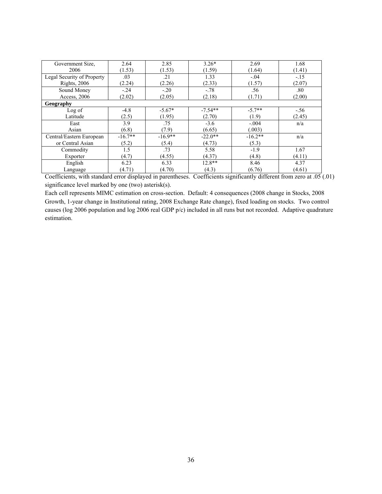| Government Size,           | 2.64      | 2.85      | $3.26*$   | 2.69      | 1.68   |
|----------------------------|-----------|-----------|-----------|-----------|--------|
| 2006                       | (1.53)    | (1.53)    | (1.59)    | (1.64)    | (1.41) |
| Legal Security of Property | .03       | .21       | 1.33      | $-.04$    | $-.15$ |
| <b>Rights</b> , 2006       | (2.24)    | (2.26)    | (2.33)    | (1.57)    | (2.07) |
| Sound Money                | $-.24$    | $-.20$    | $-.78$    | .56       | .80    |
| Access, 2006               | (2.02)    | (2.05)    | (2.18)    | (1.71)    | (2.00) |
| Geography                  |           |           |           |           |        |
| Log of                     | $-4.8$    | $-5.67*$  | $-7.54**$ | $-5.7**$  | $-.56$ |
| Latitude                   | (2.5)     | (1.95)    | (2.70)    | (1.9)     | (2.45) |
| East                       | 3.9       | .75       | $-3.6$    | $-.004$   | n/a    |
| Asian                      | (6.8)     | (7.9)     | (6.65)    | (.003)    |        |
| Central/Eastern European   | $-16.7**$ | $-16.9**$ | $-22.0**$ | $-16.2**$ | n/a    |
| or Central Asian           | (5.2)     | (5.4)     | (4.73)    | (5.3)     |        |
| Commodity                  | 1.5       | .73       | 5.58      | $-1.9$    | 1.67   |
| Exporter                   | (4.7)     | (4.55)    | (4.37)    | (4.8)     | (4.11) |
| English                    | 6.23      | 6.33      | 12.8**    | 8.46      | 4.37   |
| Language                   | (4.71)    | (4.70)    | (4.3)     | (6.76)    | (4.61) |

Coefficients, with standard error displayed in parentheses. Coefficients significantly different from zero at .05 (.01) significance level marked by one (two) asterisk(s).

Each cell represents MIMC estimation on cross-section. Default: 4 consequences (2008 change in Stocks, 2008 Growth, 1-year change in Institutional rating, 2008 Exchange Rate change), fixed loading on stocks. Two control causes (log 2006 population and log 2006 real GDP p/c) included in all runs but not recorded. Adaptive quadrature estimation.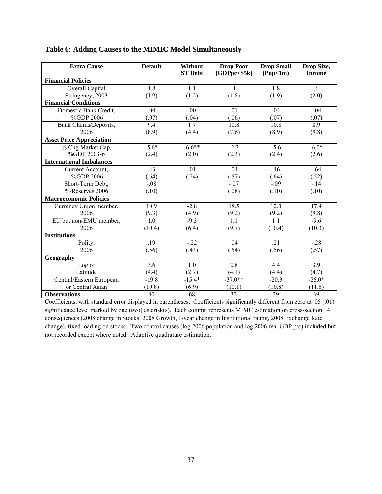| <b>Extra Cause</b>              | <b>Default</b>   | Without<br><b>ST Debt</b> | <b>Drop Poor</b><br>(GDPpc < \$5k) | <b>Drop Small</b><br>(Pop<1m) | Drop Size,<br><b>Income</b> |
|---------------------------------|------------------|---------------------------|------------------------------------|-------------------------------|-----------------------------|
| <b>Financial Policies</b>       |                  |                           |                                    |                               |                             |
| Overall Capital                 | 1.8              | 1.1                       | $\cdot$ 1                          | 1.8                           | .6                          |
| Stringency, 2003                | (1.9)            | (1.2)                     | (1.8)                              | (1.9)                         | (2.0)                       |
| <b>Financial Conditions</b>     |                  |                           |                                    |                               |                             |
| Domestic Bank Credit,           | .04              | .00                       | .01                                | .04                           | $-.04$                      |
| %GDP 2006                       | (.07)            | (.04)                     | (.06)                              | (.07)                         | (.07)                       |
| Bank Claims/Deposits,           | 9.4              | 1.7                       | 10.8                               | 10.8                          | 8.9                         |
| 2006                            | (8.9)            | (4.4)                     | (7.6)                              | (8.9)                         | (9.8)                       |
| <b>Asset Price Appreciation</b> |                  |                           |                                    |                               |                             |
| % Chg Market Cap,               | $-5.6*$          | $-6.6**$                  | $-2.3$                             | $-5.6$                        | $-6.0*$                     |
| %GDP 2003-6                     | (2.4)            | (2.0)                     | (2.3)                              | (2.4)                         | (2.6)                       |
| <b>International Imbalances</b> |                  |                           |                                    |                               |                             |
| Current Account,                | .43              | .01                       | .04                                | .46                           | $-.64$                      |
| %GDP 2006                       | (.64)            | (.24)                     | (.57)                              | (.64)                         | (.52)                       |
| Short-Term Debt,                | $-.08$           |                           | $-.07$                             | $-.09$                        | $-.14$                      |
| %/Reserves 2006                 | (.10)            |                           | (.08)                              | (.10)                         | (.10)                       |
| <b>Macroeconomic Policies</b>   |                  |                           |                                    |                               |                             |
| Currency Union member,          | 10.9             | $-2.8$                    | 18.5                               | 12.3                          | 17.4                        |
| 2006                            | (9.3)            | (4.9)                     | (9.2)                              | $\frac{(9.2)}{1.1}$           | (9.8)                       |
| EU but non-EMU member,          | $\overline{1.0}$ | $-9.3$                    | $\overline{1.1}$                   |                               | $-9.6$                      |
| 2006                            | (10.4)           | (6.4)                     | (9.7)                              | (10.4)                        | (10.3)                      |
| <b>Institutions</b>             |                  |                           |                                    |                               |                             |
| Polity,                         | .19              | $-22$                     | .04                                | .21                           | $-.28$                      |
| 2006                            | (.56)            | (.43)                     | (.54)                              | (.56)                         | (.57)                       |
| Geography                       |                  |                           |                                    |                               |                             |
| Log of                          | 3.6              | 1.0                       | 2.8                                | 4.4                           | 3.9                         |
| Latitude                        | (4.4)            | (2.7)                     | (4.1)                              | (4.4)                         | (4.7)                       |
| Central/Eastern European        | $-19.8$          | $-15.4*$                  | $-37.0**$                          | $-20.3$                       | $-26.0*$                    |
| or Central Asian                | (10.8)           | (6.9)                     | (10.1)                             | (10.8)                        | (11.6)                      |
| <b>Observations</b>             | 40               | 68                        | $\overline{32}$                    | 39                            | 39                          |

## **Table 6: Adding Causes to the MIMIC Model Simultaneously**

Coefficients, with standard error displayed in parentheses. Coefficients significantly different from zero at .05 (.01) significance level marked by one (two) asterisk(s). Each column represents MIMC estimation on cross-section. 4 consequences (2008 change in Stocks, 2008 Growth, 1-year change in Institutional rating, 2008 Exchange Rate change), fixed loading on stocks. Two control causes (log 2006 population and log 2006 real GDP p/c) included but not recorded except where noted. Adaptive quadrature estimation.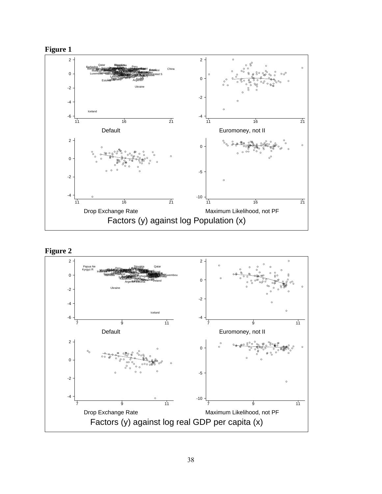



## **Figure 2**

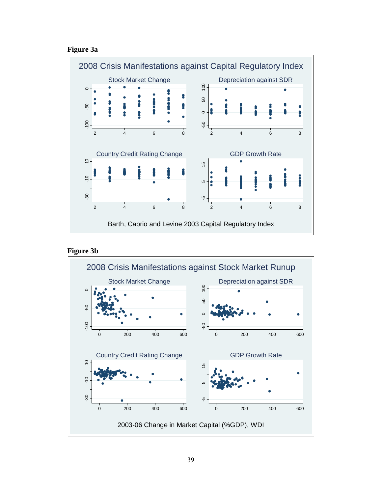#### **Figure 3a**





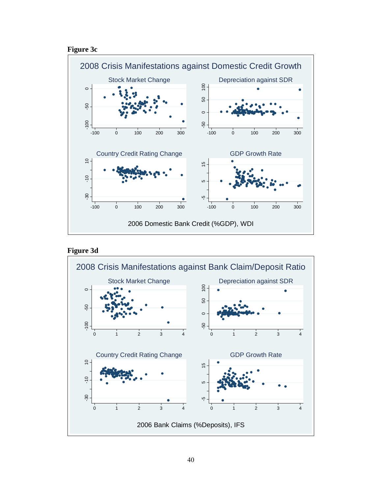## **Figure 3c**





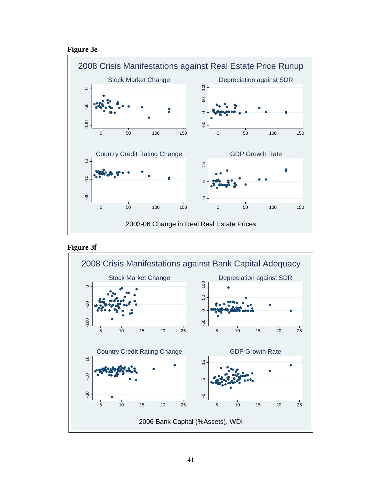## **Figure 3e**





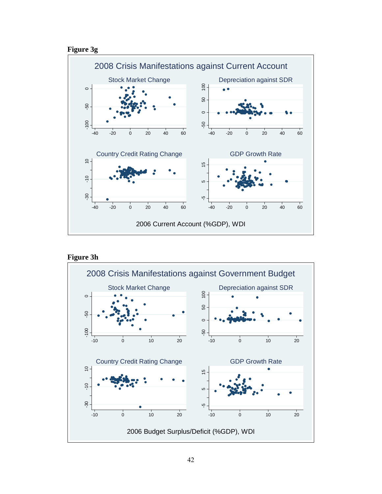





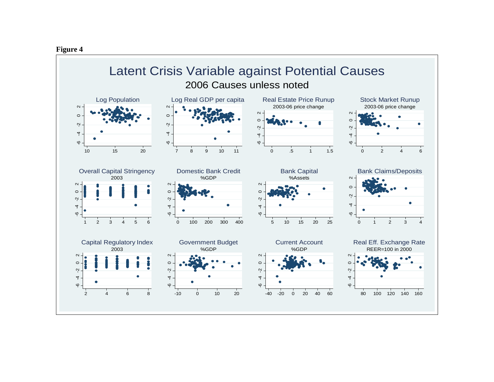

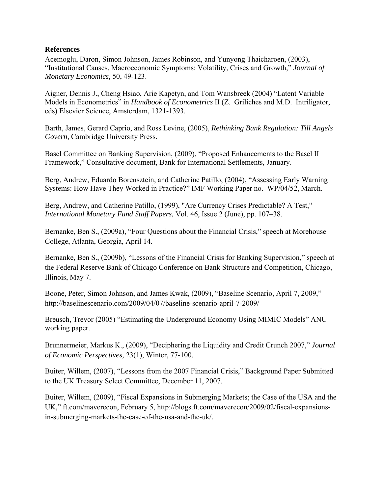### **References**

Acemoglu, Daron, Simon Johnson, James Robinson, and Yunyong Thaicharoen, (2003), "Institutional Causes, Macroeconomic Symptoms: Volatility, Crises and Growth," *Journal of Monetary Economics,* 50, 49-123.

Aigner, Dennis J., Cheng Hsiao, Arie Kapetyn, and Tom Wansbreek (2004) "Latent Variable Models in Econometrics" in *Handbook of Econometrics* II (Z. Griliches and M.D. Intriligator, eds) Elsevier Science, Amsterdam, 1321-1393.

Barth, James, Gerard Caprio, and Ross Levine, (2005), *Rethinking Bank Regulation: Till Angels Govern,* Cambridge University Press.

Basel Committee on Banking Supervision, (2009), "Proposed Enhancements to the Basel II Framework," Consultative document, Bank for International Settlements, January.

Berg, Andrew, Eduardo Borensztein, and Catherine Patillo, (2004), "Assessing Early Warning Systems: How Have They Worked in Practice?" IMF Working Paper no. WP/04/52, March.

Berg, Andrew, and Catherine Patillo, (1999), "Are Currency Crises Predictable? A Test," *International Monetary Fund Staff Papers,* Vol. 46, Issue 2 (June), pp. 107–38.

Bernanke, Ben S., (2009a), "Four Questions about the Financial Crisis," speech at Morehouse College, Atlanta, Georgia, April 14.

Bernanke, Ben S., (2009b), "Lessons of the Financial Crisis for Banking Supervision," speech at the Federal Reserve Bank of Chicago Conference on Bank Structure and Competition, Chicago, Illinois, May 7.

Boone, Peter, Simon Johnson, and James Kwak, (2009), "Baseline Scenario, April 7, 2009," http://baselinescenario.com/2009/04/07/baseline-scenario-april-7-2009/

Breusch, Trevor (2005) "Estimating the Underground Economy Using MIMIC Models" ANU working paper.

Brunnermeier, Markus K., (2009), "Deciphering the Liquidity and Credit Crunch 2007," *Journal of Economic Perspectives,* 23(1), Winter, 77-100.

Buiter, Willem, (2007), "Lessons from the 2007 Financial Crisis," Background Paper Submitted to the UK Treasury Select Committee, December 11, 2007.

Buiter, Willem, (2009), "Fiscal Expansions in Submerging Markets; the Case of the USA and the UK," ft.com/maverecon, February 5, http://blogs.ft.com/maverecon/2009/02/fiscal-expansionsin-submerging-markets-the-case-of-the-usa-and-the-uk/.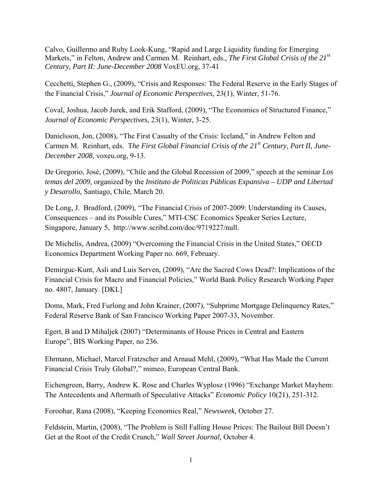Calvo, Guillermo and Ruby Look-Kung, "Rapid and Large Liquidity funding for Emerging Markets," in Felton, Andrew and Carmen M. Reinhart, eds., *The First Global Crisis of the 21st Century, Part II: June-December 2008* VoxEU.org, 37-41

Cecchetti, Stephen G., (2009), "Crisis and Responses: The Federal Reserve in the Early Stages of the Financial Crisis," *Journal of Economic Perspectives,* 23(1), Winter, 51-76.

Coval, Joshua, Jacob Jurek, and Erik Stafford, (2009), "The Economics of Structured Finance," *Journal of Economic Perspectives,* 23(1), Winter, 3-25.

Danielsson, Jon, (2008), "The First Casualty of the Crisis: Iceland," in Andrew Felton and Carmen M. Reinhart, eds. T*he First Global Financial Crisis of the 21st Century, Part II, June-December 2008,* voxeu.org, 9-13.

De Gregorio, José, (2009), "Chile and the Global Recession of 2009," speech at the seminar *Los temas del 2009,* organized by the *Instituto de Politicas Públicas Expansiva – UDP and Libertad y Desarollo,* Santiago, Chile, March 20.

De Long, J. Bradford, (2009), "The Financial Crisis of 2007-2009: Understanding its Causes, Consequences – and its Possible Cures," MTI-CSC Economics Speaker Series Lecture, Singapore, January 5, http://www.scribd.com/doc/9719227/null.

De Michelis, Andrea, (2009) "Overcoming the Financial Crisis in the United States," OECD Economics Department Working Paper no. 669, February.

Demirguc-Kunt, Asli and Luis Serven, (2009), "Are the Sacred Cows Dead?: Implications of the Financial Crisis for Macro and Financial Policies," World Bank Policy Research Working Paper no. 4807, January. [DKL]

Doms, Mark, Fred Furlong and John Krainer, (2007), "Subprime Mortgage Delinquency Rates," Federal Reserve Bank of San Francisco Working Paper 2007-33, November.

Egert, B and D Mihaljek (2007) "Determinants of House Prices in Central and Eastern Europe", BIS Working Paper, no 236.

Ehrmann, Michael, Marcel Fratzscher and Arnaud Mehl, (2009), "What Has Made the Current Financial Crisis Truly Global?," mimeo, European Central Bank.

Eichengreen, Barry, Andrew K. Rose and Charles Wyplosz (1996) "Exchange Market Mayhem: The Antecedents and Aftermath of Speculative Attacks" *Economic Policy* 10(21), 251-312.

Foroohar, Rana (2008), "Keeping Economics Real," *Newsweek,* October 27.

Feldstein, Martin, (2008), "The Problem is Still Falling House Prices: The Bailout Bill Doesn't Get at the Root of the Credit Crunch," *Wall Street Journal,* October 4.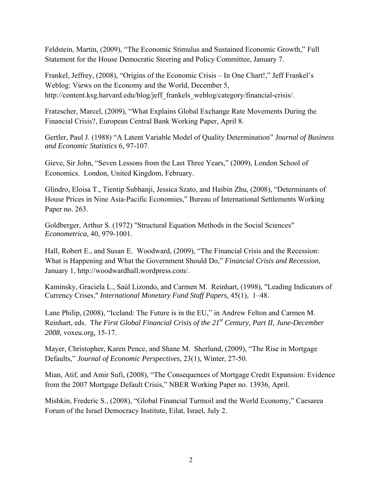Feldstein, Martin, (2009), "The Economic Stimulus and Sustained Economic Growth," Full Statement for the House Democratic Steering and Policy Committee, January 7.

Frankel, Jeffrey, (2008), "Origins of the Economic Crisis – In One Chart!," Jeff Frankel's Weblog: Views on the Economy and the World, December 5, http://content.ksg.harvard.edu/blog/jeff\_frankels\_weblog/category/financial-crisis/.

Fratzscher, Marcel, (2009), "What Explains Global Exchange Rate Movements During the Financial Crisis?, European Central Bank Working Paper, April 8.

Gertler, Paul J. (1988) "A Latent Variable Model of Quality Determination" *Journal of Business and Economic Statistics* 6, 97-107.

Gieve, Sir John, "Seven Lessons from the Last Three Years," (2009), London School of Economics. London, United Kingdom, February.

Glindro, Eloisa T., Tientip Subhanji, Jessica Szato, and Haibin Zhu, (2008), "Determinants of House Prices in Nine Asia-Pacific Economies," Bureau of International Settlements Working Paper no. 263.

Goldberger, Arthur S. (1972) "Structural Equation Methods in the Social Sciences" *Econometrica,* 40, 979-1001.

Hall, Robert E., and Susan E. Woodward, (2009), "The Financial Crisis and the Recession: What is Happening and What the Government Should Do," *Financial Crisis and Recession,* January 1, http://woodwardhall.wordpress.com/.

Kaminsky, Graciela L., Saúl Lizondo, and Carmen M. Reinhart, (1998), "Leading Indicators of Currency Crises," *International Monetary Fund Staff Papers,* 45(1), 1–48.

Lane Philip, (2008), "Iceland: The Future is in the EU," in Andrew Felton and Carmen M. Reinhart, eds. T*he First Global Financial Crisis of the 21st Century, Part II, June-December 2008,* voxeu.org, 15-17.

Mayer, Christopher, Karen Pence, and Shane M. Sherlund, (2009), "The Rise in Mortgage Defaults," *Journal of Economic Perspectives,* 23(1), Winter, 27-50.

Mian, Atif, and Amir Sufi, (2008), "The Consequences of Mortgage Credit Expansion: Evidence from the 2007 Mortgage Default Crisis," NBER Working Paper no. 13936, April.

Mishkin, Frederic S., (2008), "Global Financial Turmoil and the World Economy," Caesarea Forum of the Israel Democracy Institute, Eilat, Israel, July 2.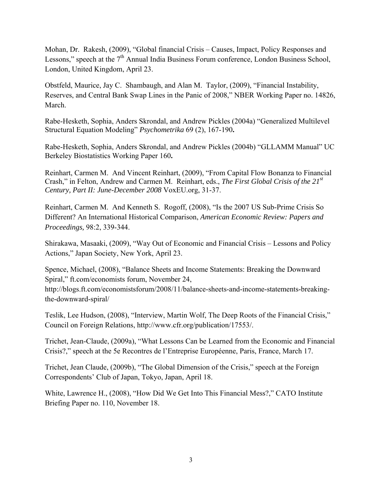Mohan, Dr. Rakesh, (2009), "Global financial Crisis – Causes, Impact, Policy Responses and Lessons," speech at the 7<sup>th</sup> Annual India Business Forum conference, London Business School, London, United Kingdom, April 23.

Obstfeld, Maurice, Jay C. Shambaugh, and Alan M. Taylor, (2009), "Financial Instability, Reserves, and Central Bank Swap Lines in the Panic of 2008," NBER Working Paper no. 14826, March.

Rabe-Hesketh, Sophia, Anders Skrondal, and Andrew Pickles (2004a) "Generalized Multilevel Structural Equation Modeling" *Psychometrika* 69 (2), 167-190**.** 

Rabe-Hesketh, Sophia, Anders Skrondal, and Andrew Pickles (2004b) "GLLAMM Manual" UC Berkeley Biostatistics Working Paper 160**.** 

Reinhart, Carmen M. And Vincent Reinhart, (2009), "From Capital Flow Bonanza to Financial Crash," in Felton, Andrew and Carmen M. Reinhart, eds., *The First Global Crisis of the 21st Century, Part II: June-December 2008* VoxEU.org, 31-37.

Reinhart, Carmen M. And Kenneth S. Rogoff, (2008), "Is the 2007 US Sub-Prime Crisis So Different? An International Historical Comparison, *American Economic Review: Papers and Proceedings,* 98:2, 339-344.

Shirakawa, Masaaki, (2009), "Way Out of Economic and Financial Crisis – Lessons and Policy Actions," Japan Society, New York, April 23.

Spence, Michael, (2008), "Balance Sheets and Income Statements: Breaking the Downward Spiral," ft.com/economists forum, November 24,

http://blogs.ft.com/economistsforum/2008/11/balance-sheets-and-income-statements-breakingthe-downward-spiral/

Teslik, Lee Hudson, (2008), "Interview, Martin Wolf, The Deep Roots of the Financial Crisis," Council on Foreign Relations, http://www.cfr.org/publication/17553/.

Trichet, Jean-Claude, (2009a), "What Lessons Can be Learned from the Economic and Financial Crisis?," speech at the 5e Recontres de l'Entreprise Européenne, Paris, France, March 17.

Trichet, Jean Claude, (2009b), "The Global Dimension of the Crisis," speech at the Foreign Correspondents' Club of Japan, Tokyo, Japan, April 18.

White, Lawrence H., (2008), "How Did We Get Into This Financial Mess?," CATO Institute Briefing Paper no. 110, November 18.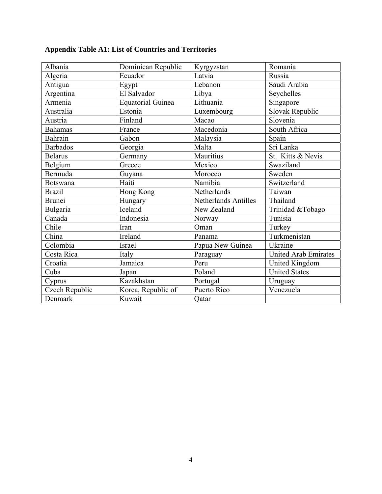| Albania         | Dominican Republic       | Kyrgyzstan                  | Romania                     |
|-----------------|--------------------------|-----------------------------|-----------------------------|
| Algeria         | Ecuador                  | Latvia                      | Russia                      |
| Antigua         | Egypt                    | Lebanon                     | Saudi Arabia                |
| Argentina       | El Salvador              | Libya                       | Seychelles                  |
| Armenia         | <b>Equatorial Guinea</b> | Lithuania                   | Singapore                   |
| Australia       | Estonia                  | Luxembourg                  | Slovak Republic             |
| Austria         | Finland                  | Macao                       | Slovenia                    |
| <b>Bahamas</b>  | France                   | Macedonia                   | South Africa                |
| Bahrain         | Gabon                    | Malaysia                    | Spain                       |
| <b>Barbados</b> | Georgia                  | Malta                       | Sri Lanka                   |
| <b>Belarus</b>  | Germany                  | Mauritius                   | St. Kitts & Nevis           |
| Belgium         | Greece                   | Mexico                      | Swaziland                   |
| Bermuda         | Guyana                   | Morocco                     | Sweden                      |
| <b>Botswana</b> | Haiti                    | Namibia                     | Switzerland                 |
| <b>Brazil</b>   | Hong Kong                | Netherlands                 | Taiwan                      |
| <b>Brunei</b>   | Hungary                  | <b>Netherlands Antilles</b> | Thailand                    |
| Bulgaria        | Iceland                  | New Zealand                 | Trinidad &Tobago            |
| Canada          | Indonesia                | Norway                      | Tunisia                     |
| Chile           | Iran                     | Oman                        | Turkey                      |
| China           | Ireland                  | Panama                      | Turkmenistan                |
| Colombia        | Israel                   | Papua New Guinea            | Ukraine                     |
| Costa Rica      | Italy                    | Paraguay                    | <b>United Arab Emirates</b> |
| Croatia         | Jamaica                  | Peru                        | United Kingdom              |
| Cuba            | Japan                    | Poland                      | <b>United States</b>        |
| Cyprus          | Kazakhstan               | Portugal                    | Uruguay                     |
| Czech Republic  | Korea, Republic of       | Puerto Rico                 | Venezuela                   |
| Denmark         | Kuwait                   | Qatar                       |                             |

# **Appendix Table A1: List of Countries and Territories**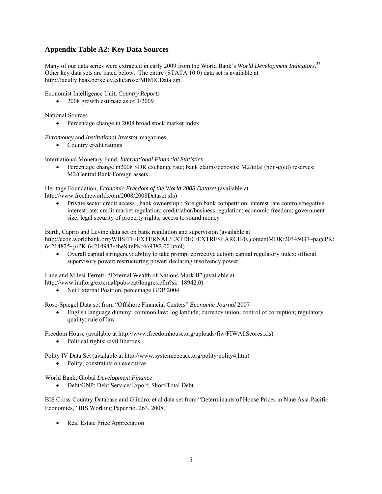## **Appendix Table A2: Key Data Sources**

Many of our data series were extracted in early 2009 from the World Bank's *World Development Indicators*. 37 Other key data sets are listed below. The entire (STATA 10.0) data set is available at http://faculty.haas.berkeley.edu/arose/MIMICData.zip.

Economist Intelligence Unit, *Country Reports*

• 2008 growth estimate as of 3/2009

National Sources

• Percentage change in 2008 broad stock market index

*Euromoney* and *Institutional Investor* magazines

• Country credit ratings

International Monetary Fund, *International Financial Statistics*

• Percentage change in2008 SDR exchange rate; bank claims/deposits; M2/total (non-gold) reserves; M2/Central Bank Foreign assets

Heritage Foundation, *Economic Freedom of the World 2008 Dataset* (available at http://www.freetheworld.com/2008/2008Dataset.xls)

• Private sector credit access ; bank ownership ; foreign bank competition; interest rate controls/negative interest rate; credit market regulation; credit/labor/business regulation; economic freedom; government size; legal security of property rights; access to sound money

Barth, Caprio and Levine data set on bank regulation and supervision (available at http://econ.worldbank.org/WBSITE/EXTERNAL/EXTDEC/EXTRESEARCH/0,,contentMDK:20345037~pagePK: 64214825~piPK:64214943~theSitePK:469382,00.html)

• Overall capital stringency; ability to take prompt corrective action; capital regulatory index; official supervisory power; restructuring power; declaring insolvency power;

Lane and Milesi-Ferretti "External Wealth of Nations Mark II" (available at http://www.imf.org/external/pubs/cat/longres.cfm?sk=18942.0)

• Net External Position, percentage GDP 2004

Rose-Spiegel Data set from "Offshore Financial Centers" *Economic Journal* 2007

• English language dummy; common law; log latitude; currency union; control of corruption; regulatory quality; rule of law

Freedom House (available at http://www.freedomhouse.org/uploads/fiw/FIWAllScores.xls)

• Political rights; civil liberties

Polity IV Data Set (available at http://www.systemicpeace.org/polity/polity4.htm)

• Polity; constraints on executive

World Bank, Global *Development Finance*

• Debt/GNP; Debt Service/Export; Short/Total Debt

BIS Cross-Country Database and Glindro, et al data set from "Determinants of House Prices in Nine Asia-Pacific Economies," BIS Working Paper no. 263, 2008.

• Real Estate Price Appreciation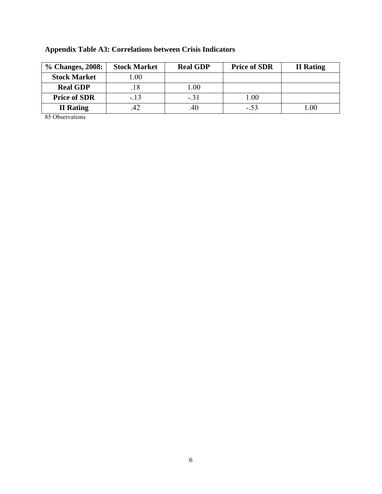| % Changes, 2008:    | <b>Stock Market</b> | <b>Real GDP</b> | <b>Price of SDR</b> | <b>II</b> Rating |
|---------------------|---------------------|-----------------|---------------------|------------------|
| <b>Stock Market</b> | .00                 |                 |                     |                  |
| <b>Real GDP</b>     |                     | .00             |                     |                  |
| <b>Price of SDR</b> | $-.13$              | $-.31$          | .00.                |                  |
| <b>II</b> Rating    |                     | .40             | $-53$               | .00              |

# **Appendix Table A3: Correlations between Crisis Indicators**

85 Observations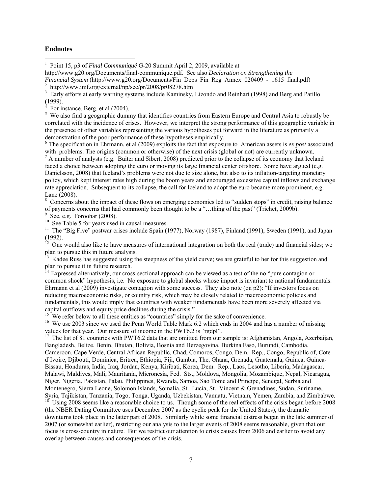#### **Endnotes**

1 Point 15, p3 of *Final Communiqué* G-20 Summit April 2, 2009, available at

http://www.g20.org/Documents/final-communique.pdf. See also *Declaration on Strengthening the Financial System (http://www.g20.org/Documents/Fin\_Deps\_Fin\_Reg\_Annex\_020409\_-\_1615\_final.pdf)* http://www.imf.org/external/np/sec/pr/2008/pr08278.htm

3 Early efforts at early warning systems include Kaminsky, Lizondo and Reinhart (1998) and Berg and Patillo (1999).

4 For instance, Berg, et al (2004).

<sup>5</sup> We also find a geographic dummy that identifies countries from Eastern Europe and Central Asia to robustly be correlated with the incidence of crises. However, we interpret the strong performance of this geographic variable in the presence of other variables representing the various hypotheses put forward in the literature as primarily a demonstration of the poor performance of these hypotheses empirically.

6 The specification in Ehrmann, et al (2009) exploits the fact that exposure to American assets is *ex post* associated with problems. The origins (common or otherwise) of the next crisis (global or not) are currently unknown.

 $^7$  A number of analysts (e.g. Buiter and Sibert, 2008) predicted prior to the collapse of its economy that Iceland faced a choice between adopting the euro or moving its large financial center offshore. Some have argued (e.g. Danielsson, 2008) that Iceland's problems were not due to size alone, but also to its inflation-targeting monetary policy, which kept interest rates high during the boom years and encouraged excessive capital inflows and exchange rate appreciation. Subsequent to its collapse, the call for Iceland to adopt the euro became more prominent, e.g. Lane (2008).

<sup>8</sup> Concerns about the impact of these flows on emerging economies led to "sudden stops" in credit, raising balance of payments concerns that had commonly been thought to be a "…thing of the past" (Trichet, 2009b).<br>
<sup>9</sup> See, e.g. Foroohar (2008).

 $\frac{10}{10}$  See Table 5 for years used in causal measures.

<sup>11</sup> The "Big Five" postwar crises include Spain (1977), Norway (1987), Finland (1991), Sweden (1991), and Japan (1992).

 $\frac{12}{2}$  One would also like to have measures of international integration on both the real (trade) and financial sides; we plan to pursue this in future analysis.

13 Kadee Russ has suggested using the steepness of the yield curve; we are grateful to her for this suggestion and plan to pursue it in future research.

<sup>14</sup> Expressed alternatively, our cross-sectional approach can be viewed as a test of the no "pure contagion or common shock" hypothesis, i.e. No exposure to global shocks whose impact is invariant to national fundamentals. Ehrmann et al (2009) investigate contagion with some success. They also note (on p2): "If investors focus on reducing macroeconomic risks, or country risk, which may be closely related to macroeconomic policies and fundamentals, this would imply that countries with weaker fundamentals have been more severely affected via capital outflows and equity price declines during the crisis." We refer below to all these entities as "countries" simply for the sake of convenience.

<sup>16</sup> We use 2003 since we used the Penn World Table Mark 6.2 which ends in 2004 and has a number of missing values for that vear. Our measure of income in the PWT6.2 is "rednl".

<sup>17</sup> The list of 81 countries with PWT6.2 data that are omitted from our sample is: Afghanistan, Angola, Azerbaijan, Bangladesh, Belize, Benin, Bhutan, Bolivia, Bosnia and Herzegovina, Burkina Faso, Burundi, Cambodia, Cameroon, Cape Verde, Central African Republic, Chad, Comoros, Congo, Dem. Rep., Congo, Republic of, Cote d`Ivoire, Djibouti, Dominica, Eritrea, Ethiopia, Fiji, Gambia, The, Ghana, Grenada, Guatemala, Guinea, Guinea-Bissau, Honduras, India, Iraq, Jordan, Kenya, Kiribati, Korea, Dem. Rep., Laos, Lesotho, Liberia, Madagascar, Malawi, Maldives, Mali, Mauritania, Micronesia, Fed. Sts., Moldova, Mongolia, Mozambique, Nepal, Nicaragua, Niger, Nigeria, Pakistan, Palau, Philippines, Rwanda, Samoa, Sao Tome and Principe, Senegal, Serbia and Montenegro, Sierra Leone, Solomon Islands, Somalia, St. Lucia, St. Vincent & Grenadines, Sudan, Suriname, Syria, Tajikistan, Tanzania, Togo, Tonga, Uganda, Uzbekistan, Vanuatu, Vietnam, Yemen, Zambia, and Zimbabwe. 18 Using 2008 seems like a reasonable choice to us. Though some of the real effects of the crisis began before 2008 (the NBER Dating Committee uses December 2007 as the cyclic peak for the United States), the dramatic downturns took place in the latter part of 2008. Similarly while some financial distress began in the late summer of 2007 (or somewhat earlier), restricting our analysis to the larger events of 2008 seems reasonable, given that our focus is cross-country in nature. But we restrict our attention to crisis causes from 2006 and earlier to avoid any overlap between causes and consequences of the crisis.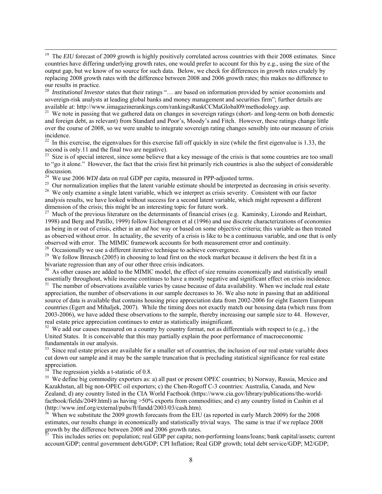<sup>19</sup> The *EIU* forecast of 2009 growth is highly positively correlated across countries with their 2008 estimates. Since countries have differing underlying growth rates, one would prefer to account for this by e.g., using the size of the output gap, but we know of no source for such data. Below, we check for differences in growth rates crudely by replacing 2008 growth rates with the difference between 2008 and 2006 growth rates; this makes no difference to our results in practice.

20 *Institutional Investor* states that their ratings "… are based on information provided by senior economists and sovereign-risk analysts at leading global banks and money management and securities firm"; further details are available at: http://www.iimagazinerankings.com/rankingsRankCCMaGlobal09/methodology.asp.

<sup>21</sup> We note in passing that we gathered data on changes in sovereign ratings (short- and long-term on both domestic and foreign debt, as relevant) from Standard and Poor's, Moody's and Fitch. However, these ratings change little over the course of 2008, so we were unable to integrate sovereign rating changes sensibly into our measure of crisis incidence.

 $22$  In this exercise, the eigenvalues for this exercise fall off quickly in size (while the first eigenvalue is 1.33, the second is only.11 and the final two are negative).

 $^{23}$  Size is of special interest, since some believe that a key message of the crisis is that some countries are too small to "go it alone." However, the fact that the crisis first hit primarily rich countries is also the subject of considerable discussion.<br><sup>24</sup> We use 2006 *WDI* data on real GDP per capita, measured in PPP-adjusted terms.

<sup>25</sup> Our normalization implies that the latent variable estimate should be interpreted as decreasing in crisis severity.<br><sup>26</sup> We only examine a single latent variable, which we interpret as crisis severity. Consistent wit analysis results, we have looked without success for a second latent variable, which might represent a different dimension of the crisis; this might be an interesting topic for future work.

<sup>27</sup> Much of the previous literature on the determinants of financial crises (e.g. Kaminsky, Lizondo and Reinhart, 1998) and Berg and Patillo, 1999) follow Eichengreen et al (1996) and use discrete characterizations of economies as being in or out of crisis, either in an *ad hoc* way or based on some objective criteria; this variable as then treated as observed without error. In actuality, the severity of a crisis is like to be a continuous variable, and one that is only observed with error. The MIMIC framework accounts for both measurement error and continuity.<br><sup>28</sup> Occasionally we use a different iterative technique to achieve convergence.

<sup>29</sup> We follow Breusch (2005) in choosing to load first on the stock market because it delivers the best fit in a bivariate regression than any of our other three crisis indicators.

<sup>30</sup> As other causes are added to the MIMIC model, the effect of size remains economically and statistically small essentially throughout, while income continues to have a mostly negative and significant effect on crisis i

<sup>31</sup> The number of observations available varies by cause because of data availability. When we include real estate appreciation, the number of observations in our sample decreases to 36. We also note in passing that an additional source of data is available that contains housing price appreciation data from 2002-2006 for eight Eastern European countries (Egert and Mihaljek, 2007). While the timing does not exactly match our housing data (which runs from 2003-2006), we have added these observations to the sample, thereby increasing our sample size to 44. However, real estate price appreciation continues to enter as statistically insignificant.<br><sup>32</sup> We add our causes measured on a country by country format, not as differentials with respect to (e.g., ) the

United States. It is conceivable that this may partially explain the poor performance of macroeconomic fundamentals in our analysis.

<sup>33</sup> Since real estate prices are available for a smaller set of countries, the inclusion of our real estate variable does cut down our sample and it may be the sample truncation that is precluding statistical significance for real estate appreciation.

 $3<sup>4</sup>$  The regression yields a t-statistic of 0.8.

<sup>35</sup> We define big commodity exporters as: a) all past or present OPEC countries; b) Norway, Russia, Mexico and Kazakhstan, all big non-OPEC oil exporters; c) the Chen-Rogoff C-3 countries: Australia, Canada, and New Zealand; d) any country listed in the CIA World Factbook (https://www.cia.gov/library/publications/the-worldfactbook/fields/2049.html) as having >50% exports from commodities; and e) any country listed in Cashin et al (http://www.imf.org/external/pubs/ft/fandd/2003/03/cash.htm).

 $36$  When we substitute the 2009 growth forecasts from the EIU (as reported in early March 2009) for the 2008 estimates, our results change in economically and statistically trivial ways. The same is true if we replace 2008 growth by the difference between 2008 and 2006 growth rates.<br><sup>37</sup> This includes arrive

37 This includes series on: population; real GDP per capita; non-performing loans/loans; bank capital/assets; current account/GDP; central government debt/GDP; CPI Inflation; Real GDP growth; total debt service/GDP; M2/GDP;